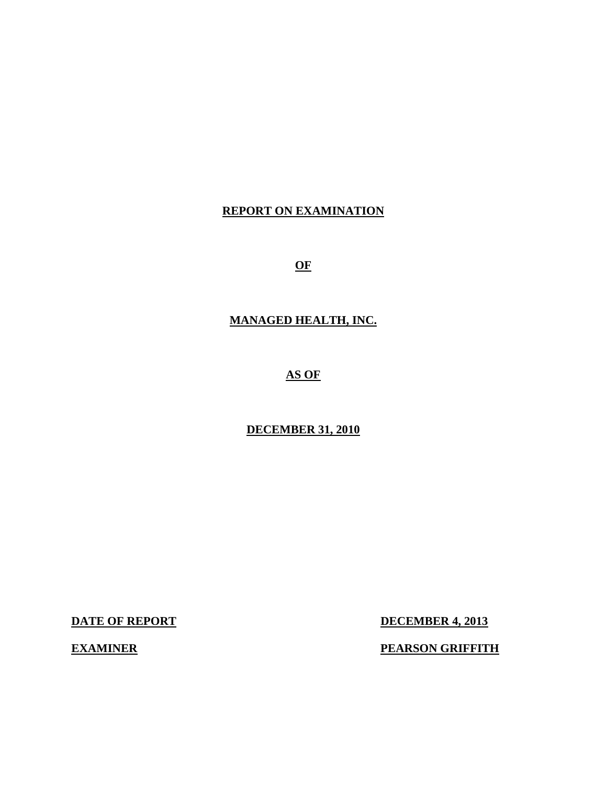# **REPORT ON EXAMINATION**

**OF** 

# **MANAGED HEALTH, INC.**

**AS OF** 

# **DECEMBER 31, 2010**

**DATE OF REPORT DECEMBER 4, 2013** 

**EXAMINER** PEARSON GRIFFITH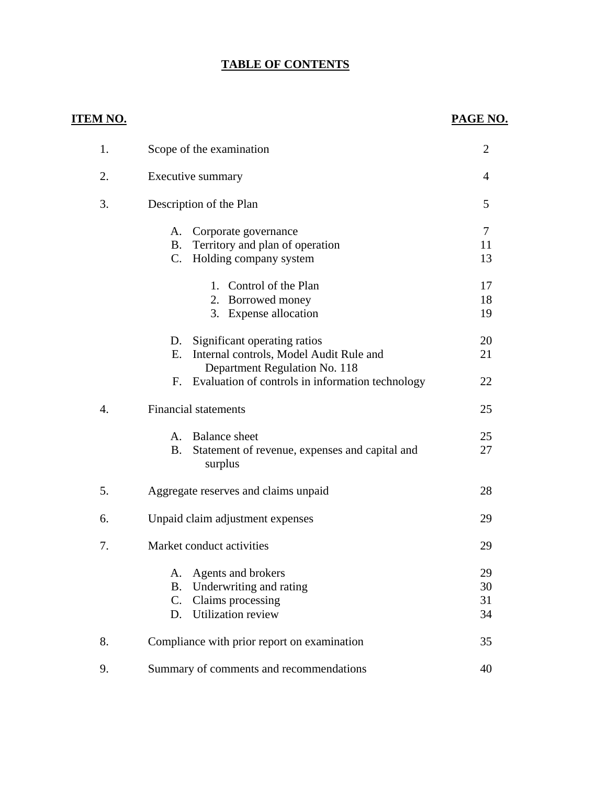# **TABLE OF CONTENTS**

# **ITEM NO. PAGE NO.**

| 1. | Scope of the examination                                                                                             | $\overline{2}$       |
|----|----------------------------------------------------------------------------------------------------------------------|----------------------|
| 2. | Executive summary                                                                                                    | 4                    |
| 3. | Description of the Plan                                                                                              | 5                    |
|    | Corporate governance<br>А.<br>Territory and plan of operation<br><b>B.</b><br>Holding company system<br>C.           | 7<br>11<br>13        |
|    | Control of the Plan<br>1.<br>2. Borrowed money<br>3. Expense allocation                                              | 17<br>18<br>19       |
|    | Significant operating ratios<br>D.<br>Internal controls, Model Audit Rule and<br>Е.<br>Department Regulation No. 118 | 20<br>21             |
|    | Evaluation of controls in information technology<br>F.                                                               | 22                   |
| 4. | <b>Financial statements</b>                                                                                          | 25                   |
|    | <b>Balance</b> sheet<br>A.<br>Statement of revenue, expenses and capital and<br><b>B.</b><br>surplus                 | 25<br>27             |
| 5. | Aggregate reserves and claims unpaid                                                                                 | 28                   |
| 6. | Unpaid claim adjustment expenses                                                                                     | 29                   |
| 7. | Market conduct activities                                                                                            | 29                   |
|    | Agents and brokers<br>А.<br>B. Underwriting and rating<br>Claims processing<br>C.<br><b>Utilization review</b><br>D. | 29<br>30<br>31<br>34 |
| 8. | Compliance with prior report on examination                                                                          | 35                   |
| 9. | Summary of comments and recommendations                                                                              | 40                   |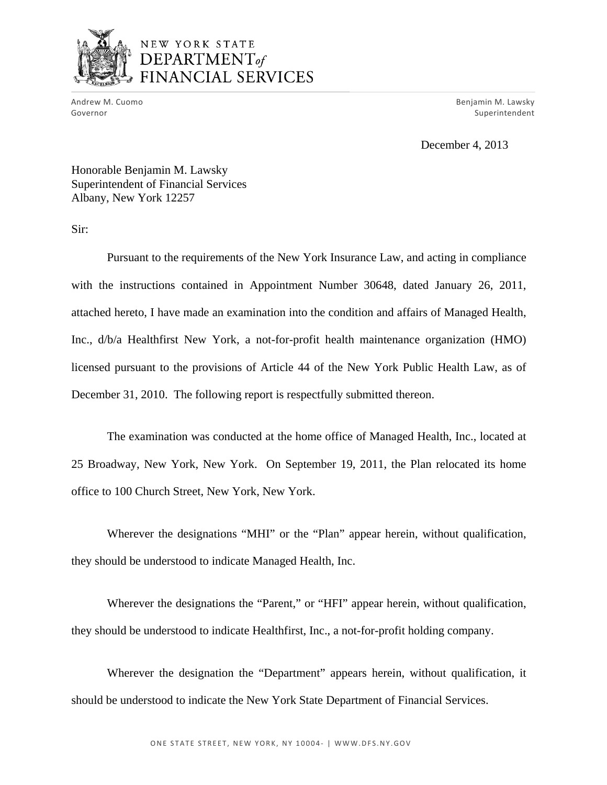

# NEW YORK STATE  $$ FINANCIAL SERVICES

Andrew M. Cuomo<br>Governor

 Andrew M. Cuomo Benjamin M. Lawsky Superintendent

December 4, 2013

Honorable Benjamin M. Lawsky Superintendent of Financial Services Albany, New York 12257

Sir:

Pursuant to the requirements of the New York Insurance Law, and acting in compliance with the instructions contained in Appointment Number 30648, dated January 26, 2011, attached hereto, I have made an examination into the condition and affairs of Managed Health, Inc., d/b/a Healthfirst New York, a not-for-profit health maintenance organization (HMO) licensed pursuant to the provisions of Article 44 of the New York Public Health Law, as of December 31, 2010. The following report is respectfully submitted thereon.

The examination was conducted at the home office of Managed Health, Inc., located at 25 Broadway, New York, New York. On September 19, 2011, the Plan relocated its home office to 100 Church Street, New York, New York.

Wherever the designations "MHI" or the "Plan" appear herein, without qualification, they should be understood to indicate Managed Health, Inc.

Wherever the designations the "Parent," or "HFI" appear herein, without qualification, they should be understood to indicate Healthfirst, Inc., a not-for-profit holding company.

Wherever the designation the "Department" appears herein, without qualification, it should be understood to indicate the New York State Department of Financial Services.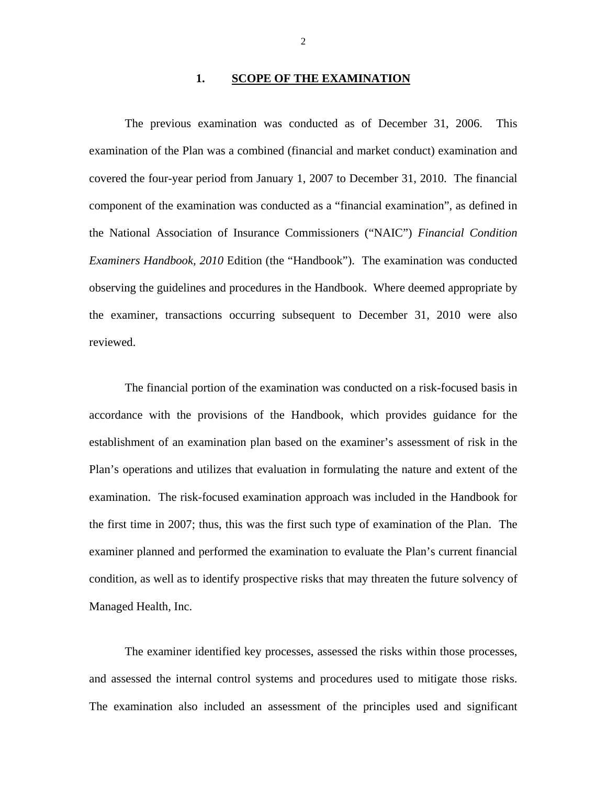#### **1. SCOPE OF THE EXAMINATION**

The previous examination was conducted as of December 31, 2006. This examination of the Plan was a combined (financial and market conduct) examination and covered the four-year period from January 1, 2007 to December 31, 2010. The financial component of the examination was conducted as a "financial examination", as defined in the National Association of Insurance Commissioners ("NAIC") *Financial Condition Examiners Handbook, 2010* Edition (the "Handbook"). The examination was conducted observing the guidelines and procedures in the Handbook. Where deemed appropriate by the examiner, transactions occurring subsequent to December 31, 2010 were also reviewed.

The financial portion of the examination was conducted on a risk-focused basis in accordance with the provisions of the Handbook, which provides guidance for the establishment of an examination plan based on the examiner's assessment of risk in the Plan's operations and utilizes that evaluation in formulating the nature and extent of the examination. The risk-focused examination approach was included in the Handbook for the first time in 2007; thus, this was the first such type of examination of the Plan. The examiner planned and performed the examination to evaluate the Plan's current financial condition, as well as to identify prospective risks that may threaten the future solvency of Managed Health, Inc.

The examiner identified key processes, assessed the risks within those processes, and assessed the internal control systems and procedures used to mitigate those risks. The examination also included an assessment of the principles used and significant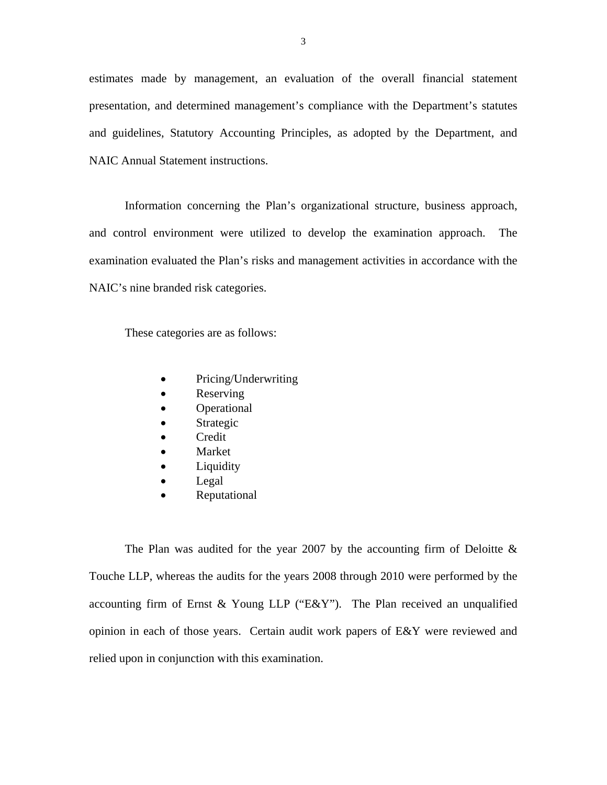estimates made by management, an evaluation of the overall financial statement presentation, and determined management's compliance with the Department's statutes and guidelines, Statutory Accounting Principles, as adopted by the Department, and NAIC Annual Statement instructions.

Information concerning the Plan's organizational structure, business approach, and control environment were utilized to develop the examination approach. The examination evaluated the Plan's risks and management activities in accordance with the NAIC's nine branded risk categories.

These categories are as follows:

- Pricing/Underwriting
- Reserving
- Operational
- Strategic
- Credit
- Market
- Liquidity
- Legal
- Reputational

The Plan was audited for the year 2007 by the accounting firm of Deloitte  $\&$ Touche LLP, whereas the audits for the years 2008 through 2010 were performed by the accounting firm of Ernst & Young LLP ("E&Y"). The Plan received an unqualified opinion in each of those years. Certain audit work papers of E&Y were reviewed and relied upon in conjunction with this examination.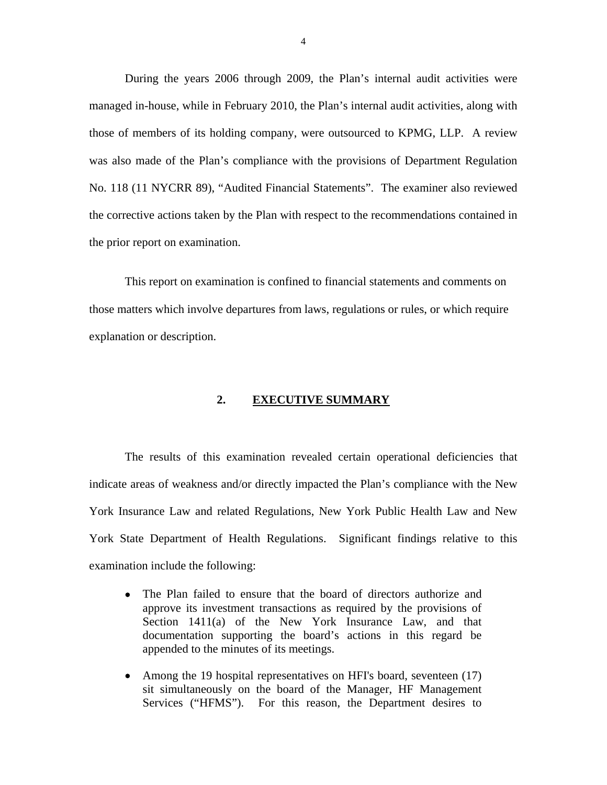During the years 2006 through 2009, the Plan's internal audit activities were managed in-house, while in February 2010, the Plan's internal audit activities, along with those of members of its holding company, were outsourced to KPMG, LLP. A review was also made of the Plan's compliance with the provisions of Department Regulation No. 118 (11 NYCRR 89), "Audited Financial Statements". The examiner also reviewed the corrective actions taken by the Plan with respect to the recommendations contained in the prior report on examination.

This report on examination is confined to financial statements and comments on those matters which involve departures from laws, regulations or rules, or which require explanation or description.

## **2. EXECUTIVE SUMMARY**

The results of this examination revealed certain operational deficiencies that indicate areas of weakness and/or directly impacted the Plan's compliance with the New York Insurance Law and related Regulations, New York Public Health Law and New York State Department of Health Regulations. Significant findings relative to this examination include the following:

- The Plan failed to ensure that the board of directors authorize and approve its investment transactions as required by the provisions of Section 1411(a) of the New York Insurance Law, and that documentation supporting the board's actions in this regard be appended to the minutes of its meetings.
- Among the 19 hospital representatives on HFI's board, seventeen (17) sit simultaneously on the board of the Manager, HF Management Services ("HFMS"). For this reason, the Department desires to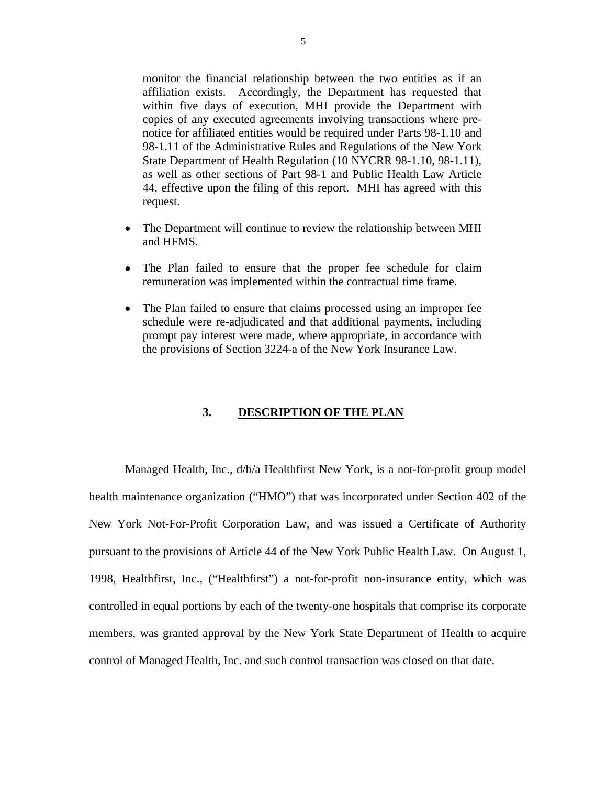monitor the financial relationship between the two entities as if an affiliation exists. Accordingly, the Department has requested that within five days of execution, MHI provide the Department with copies of any executed agreements involving transactions where prenotice for affiliated entities would be required under Parts 98-1.10 and 98-1.11 of the Administrative Rules and Regulations of the New York State Department of Health Regulation (10 NYCRR 98-1.10, 98-1.11), as well as other sections of Part 98-1 and Public Health Law Article 44, effective upon the filing of this report. MHI has agreed with this request.

- The Department will continue to review the relationship between MHI and HFMS.
- The Plan failed to ensure that the proper fee schedule for claim remuneration was implemented within the contractual time frame.
- The Plan failed to ensure that claims processed using an improper fee schedule were re-adjudicated and that additional payments, including prompt pay interest were made, where appropriate, in accordance with the provisions of Section 3224-a of the New York Insurance Law.

#### **3. DESCRIPTION OF THE PLAN**

Managed Health, Inc., d/b/a Healthfirst New York, is a not-for-profit group model health maintenance organization ("HMO") that was incorporated under Section 402 of the New York Not-For-Profit Corporation Law, and was issued a Certificate of Authority pursuant to the provisions of Article 44 of the New York Public Health Law. On August 1, 1998, Healthfirst, Inc., ("Healthfirst") a not-for-profit non-insurance entity, which was controlled in equal portions by each of the twenty-one hospitals that comprise its corporate members, was granted approval by the New York State Department of Health to acquire control of Managed Health, Inc. and such control transaction was closed on that date.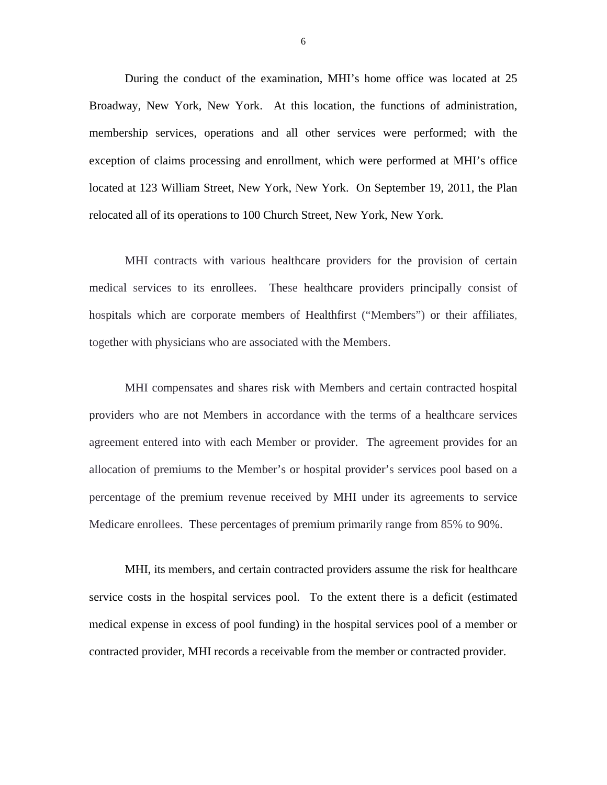During the conduct of the examination, MHI's home office was located at 25 Broadway, New York, New York. At this location, the functions of administration, membership services, operations and all other services were performed; with the exception of claims processing and enrollment, which were performed at MHI's office located at 123 William Street, New York, New York. On September 19, 2011, the Plan relocated all of its operations to 100 Church Street, New York, New York.

MHI contracts with various healthcare providers for the provision of certain medical services to its enrollees. These healthcare providers principally consist of hospitals which are corporate members of Healthfirst ("Members") or their affiliates, together with physicians who are associated with the Members.

MHI compensates and shares risk with Members and certain contracted hospital providers who are not Members in accordance with the terms of a healthcare services agreement entered into with each Member or provider. The agreement provides for an allocation of premiums to the Member's or hospital provider's services pool based on a percentage of the premium revenue received by MHI under its agreements to service Medicare enrollees. These percentages of premium primarily range from 85% to 90%.

MHI, its members, and certain contracted providers assume the risk for healthcare service costs in the hospital services pool. To the extent there is a deficit (estimated medical expense in excess of pool funding) in the hospital services pool of a member or contracted provider, MHI records a receivable from the member or contracted provider.

6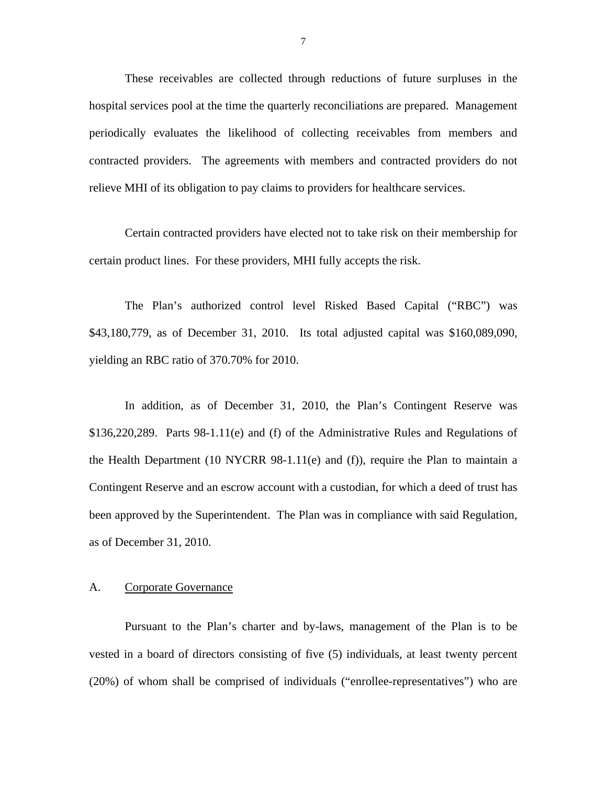These receivables are collected through reductions of future surpluses in the hospital services pool at the time the quarterly reconciliations are prepared. Management periodically evaluates the likelihood of collecting receivables from members and contracted providers. The agreements with members and contracted providers do not relieve MHI of its obligation to pay claims to providers for healthcare services.

Certain contracted providers have elected not to take risk on their membership for certain product lines. For these providers, MHI fully accepts the risk.

The Plan's authorized control level Risked Based Capital ("RBC") was \$43,180,779, as of December 31, 2010. Its total adjusted capital was \$160,089,090, yielding an RBC ratio of 370.70% for 2010.

In addition, as of December 31, 2010, the Plan's Contingent Reserve was \$136,220,289. Parts 98-1.11(e) and (f) of the Administrative Rules and Regulations of the Health Department (10 NYCRR  $98-1.11(e)$  and (f)), require the Plan to maintain a Contingent Reserve and an escrow account with a custodian, for which a deed of trust has been approved by the Superintendent. The Plan was in compliance with said Regulation, as of December 31, 2010.

### A. Corporate Governance

Pursuant to the Plan's charter and by-laws, management of the Plan is to be vested in a board of directors consisting of five (5) individuals, at least twenty percent (20%) of whom shall be comprised of individuals ("enrollee-representatives") who are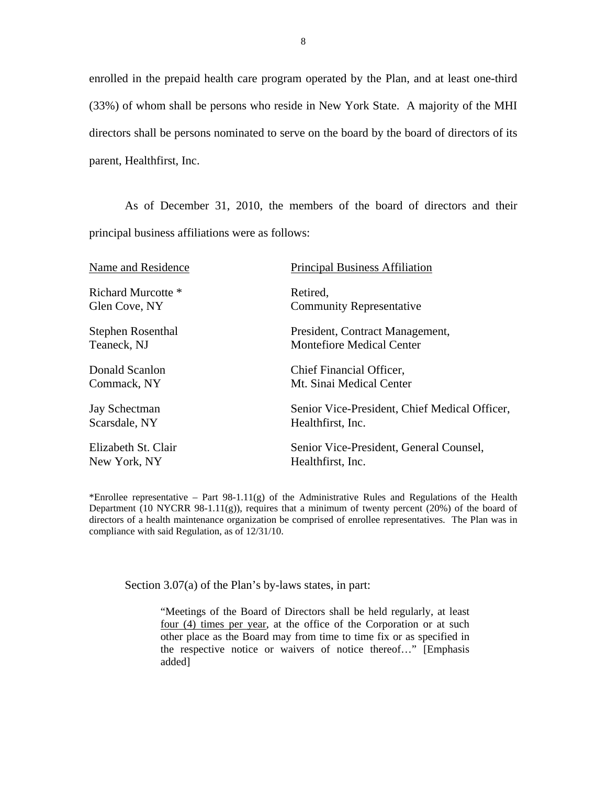enrolled in the prepaid health care program operated by the Plan, and at least one-third (33%) of whom shall be persons who reside in New York State. A majority of the MHI directors shall be persons nominated to serve on the board by the board of directors of its parent, Healthfirst, Inc.

As of December 31, 2010, the members of the board of directors and their principal business affiliations were as follows:

| Name and Residence       | <b>Principal Business Affiliation</b>         |
|--------------------------|-----------------------------------------------|
| Richard Murcotte *       | Retired,                                      |
| Glen Cove, NY            | <b>Community Representative</b>               |
| <b>Stephen Rosenthal</b> | President, Contract Management,               |
| Teaneck, NJ              | <b>Montefiore Medical Center</b>              |
| Donald Scanlon           | Chief Financial Officer,                      |
| Commack, NY              | Mt. Sinai Medical Center                      |
| <b>Jay Schectman</b>     | Senior Vice-President, Chief Medical Officer, |
| Scarsdale, NY            | Healthfirst, Inc.                             |
| Elizabeth St. Clair      | Senior Vice-President, General Counsel,       |
| New York, NY             | Healthfirst, Inc.                             |
|                          |                                               |

Department (10 NYCRR 98-1.11 $(g)$ ), requires that a minimum of twenty percent (20%) of the board of \*Enrollee representative – Part 98-1.11(g) of the Administrative Rules and Regulations of the Health directors of a health maintenance organization be comprised of enrollee representatives. The Plan was in compliance with said Regulation, as of 12/31/10.

Section 3.07(a) of the Plan's by-laws states, in part:

"Meetings of the Board of Directors shall be held regularly, at least four (4) times per year, at the office of the Corporation or at such other place as the Board may from time to time fix or as specified in the respective notice or waivers of notice thereof…" [Emphasis added]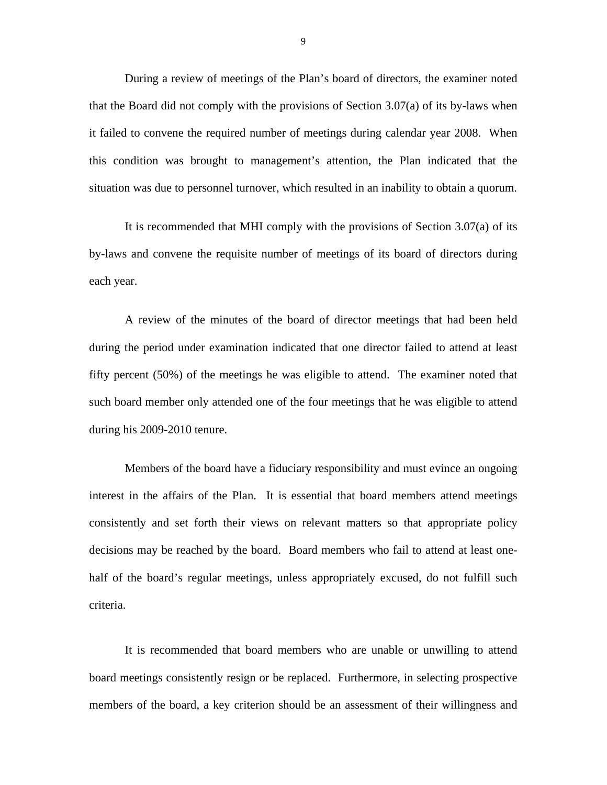During a review of meetings of the Plan's board of directors, the examiner noted that the Board did not comply with the provisions of Section 3.07(a) of its by-laws when it failed to convene the required number of meetings during calendar year 2008. When this condition was brought to management's attention, the Plan indicated that the situation was due to personnel turnover, which resulted in an inability to obtain a quorum.

It is recommended that MHI comply with the provisions of Section 3.07(a) of its by-laws and convene the requisite number of meetings of its board of directors during each year.

A review of the minutes of the board of director meetings that had been held during the period under examination indicated that one director failed to attend at least fifty percent (50%) of the meetings he was eligible to attend. The examiner noted that such board member only attended one of the four meetings that he was eligible to attend during his 2009-2010 tenure.

Members of the board have a fiduciary responsibility and must evince an ongoing interest in the affairs of the Plan. It is essential that board members attend meetings consistently and set forth their views on relevant matters so that appropriate policy decisions may be reached by the board. Board members who fail to attend at least onehalf of the board's regular meetings, unless appropriately excused, do not fulfill such criteria.

It is recommended that board members who are unable or unwilling to attend board meetings consistently resign or be replaced. Furthermore, in selecting prospective members of the board, a key criterion should be an assessment of their willingness and

9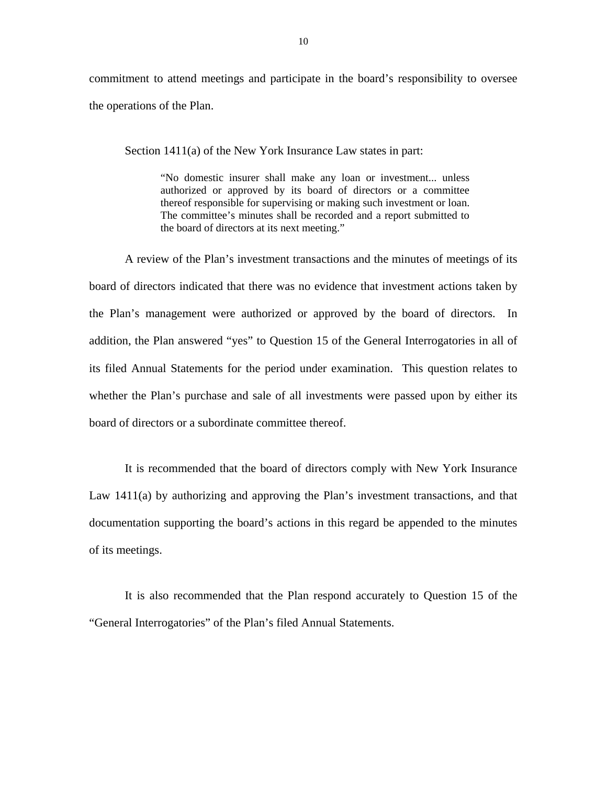commitment to attend meetings and participate in the board's responsibility to oversee the operations of the Plan.

Section 1411(a) of the New York Insurance Law states in part:

"No domestic insurer shall make any loan or investment... unless authorized or approved by its board of directors or a committee thereof responsible for supervising or making such investment or loan. The committee's minutes shall be recorded and a report submitted to the board of directors at its next meeting."

A review of the Plan's investment transactions and the minutes of meetings of its board of directors indicated that there was no evidence that investment actions taken by the Plan's management were authorized or approved by the board of directors. In addition, the Plan answered "yes" to Question 15 of the General Interrogatories in all of its filed Annual Statements for the period under examination. This question relates to whether the Plan's purchase and sale of all investments were passed upon by either its board of directors or a subordinate committee thereof.

It is recommended that the board of directors comply with New York Insurance Law 1411(a) by authorizing and approving the Plan's investment transactions, and that documentation supporting the board's actions in this regard be appended to the minutes of its meetings.

It is also recommended that the Plan respond accurately to Question 15 of the "General Interrogatories" of the Plan's filed Annual Statements.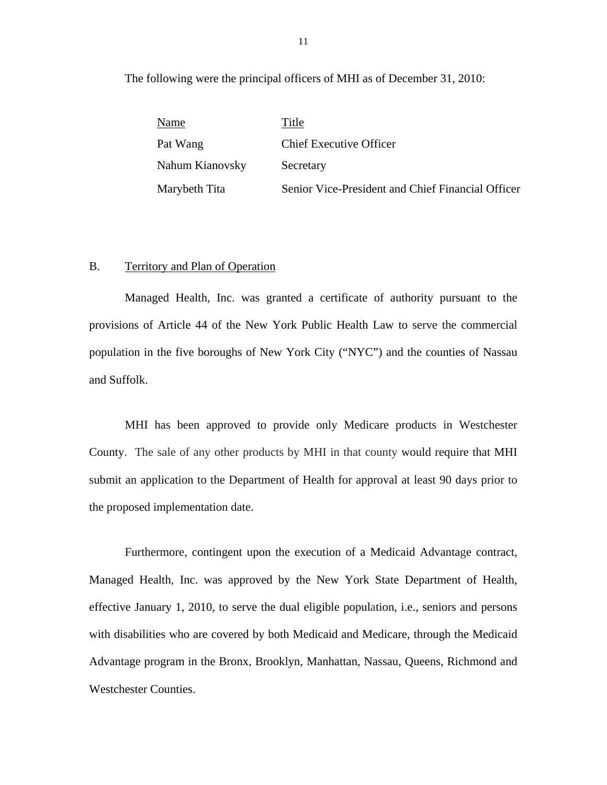The following were the principal officers of MHI as of December 31, 2010:

| Name            | Title                                             |
|-----------------|---------------------------------------------------|
| Pat Wang        | <b>Chief Executive Officer</b>                    |
| Nahum Kianovsky | Secretary                                         |
| Marybeth Tita   | Senior Vice-President and Chief Financial Officer |

#### B. Territory and Plan of Operation

Managed Health, Inc. was granted a certificate of authority pursuant to the provisions of Article 44 of the New York Public Health Law to serve the commercial population in the five boroughs of New York City ("NYC") and the counties of Nassau and Suffolk.

MHI has been approved to provide only Medicare products in Westchester County. The sale of any other products by MHI in that county would require that MHI submit an application to the Department of Health for approval at least 90 days prior to the proposed implementation date.

Furthermore, contingent upon the execution of a Medicaid Advantage contract, Managed Health, Inc. was approved by the New York State Department of Health, effective January 1, 2010, to serve the dual eligible population, i.e., seniors and persons with disabilities who are covered by both Medicaid and Medicare, through the Medicaid Advantage program in the Bronx, Brooklyn, Manhattan, Nassau, Queens, Richmond and Westchester Counties.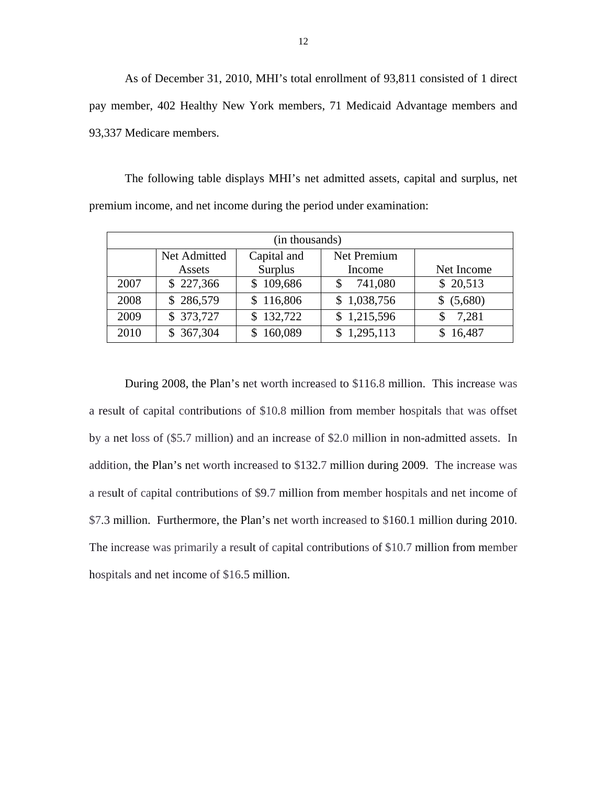As of December 31, 2010, MHI's total enrollment of 93,811 consisted of 1 direct pay member, 402 Healthy New York members, 71 Medicaid Advantage members and 93,337 Medicare members.

The following table displays MHI's net admitted assets, capital and surplus, net premium income, and net income during the period under examination:

| (in thousands) |              |             |               |            |
|----------------|--------------|-------------|---------------|------------|
|                | Net Admitted | Capital and | Net Premium   |            |
|                | Assets       | Surplus     | Income        | Net Income |
| 2007           | \$227,366    | \$109,686   | 741,080<br>\$ | \$ 20,513  |
| 2008           | \$286,579    | 116,806     | \$1,038,756   | \$ (5,680) |
| 2009           | \$ 373,727   | \$132,722   | \$1,215,596   | 7,281<br>S |
| 2010           | \$367,304    | 160,089     | \$1,295,113   | \$16,487   |

During 2008, the Plan's net worth increased to \$116.8 million. This increase was a result of capital contributions of \$10.8 million from member hospitals that was offset by a net loss of (\$5.7 million) and an increase of \$2.0 million in non-admitted assets. In addition, the Plan's net worth increased to \$132.7 million during 2009. The increase was a result of capital contributions of \$9.7 million from member hospitals and net income of \$7.3 million. Furthermore, the Plan's net worth increased to \$160.1 million during 2010. The increase was primarily a result of capital contributions of \$10.7 million from member hospitals and net income of \$16.5 million.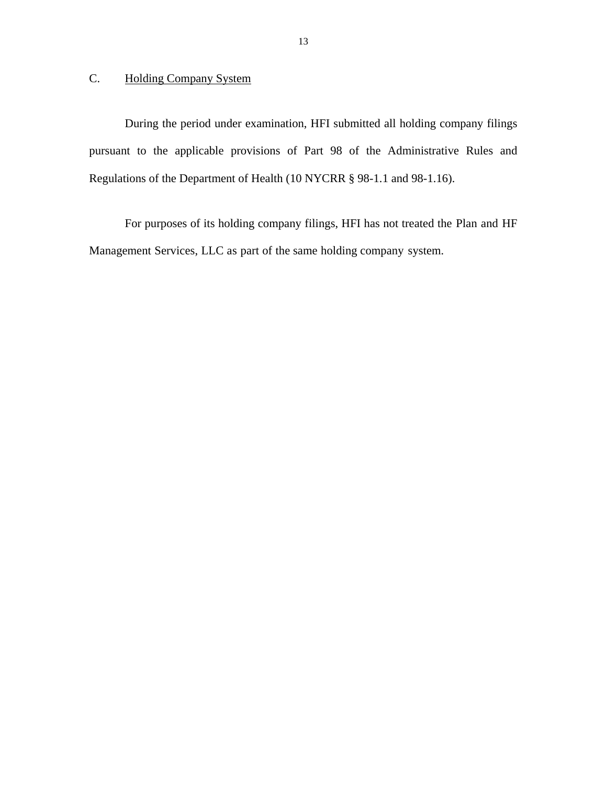# C. Holding Company System

During the period under examination, HFI submitted all holding company filings pursuant to the applicable provisions of Part 98 of the Administrative Rules and Regulations of the Department of Health (10 NYCRR § 98-1.1 and 98-1.16).

For purposes of its holding company filings, HFI has not treated the Plan and HF Management Services, LLC as part of the same holding company system.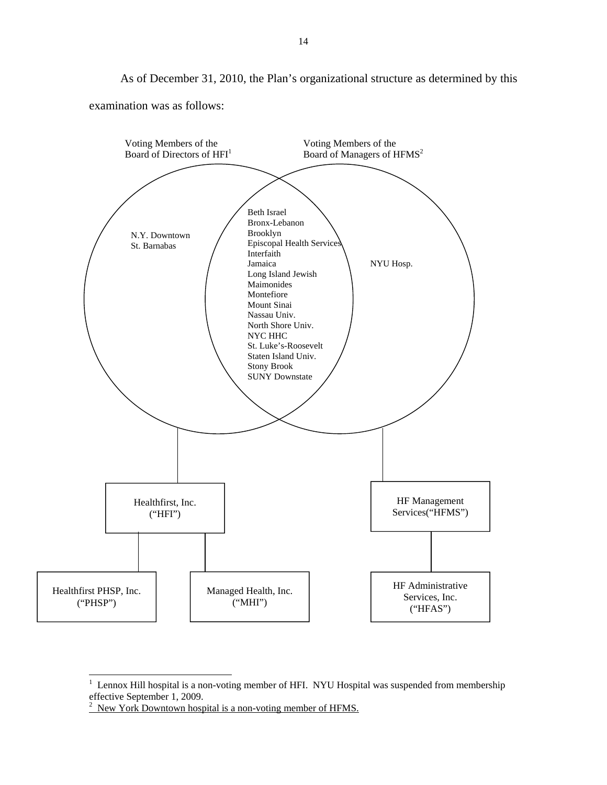As of December 31, 2010, the Plan's organizational structure as determined by this examination was as follows:



 $1$  Lennox Hill hospital is a non-voting member of HFI. NYU Hospital was suspended from membership

l

 effective September 1, 2009.<br>
<sup>2</sup> New York Downtown hospital is a non-voting member of HFMS.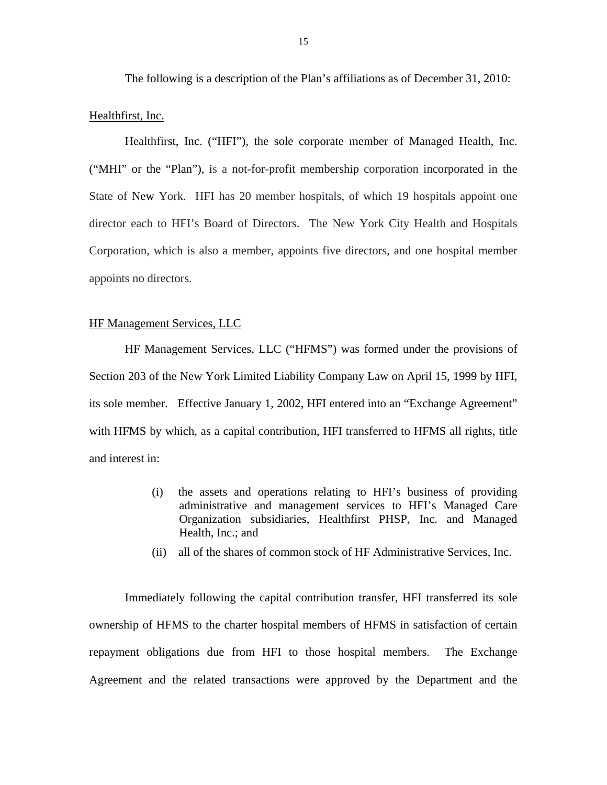The following is a description of the Plan's affiliations as of December 31, 2010:

#### Healthfirst, Inc.

Healthfirst, Inc. ("HFI"), the sole corporate member of Managed Health, Inc. ("MHI" or the "Plan"), is a not-for-profit membership corporation incorporated in the State of New York. HFI has 20 member hospitals, of which 19 hospitals appoint one director each to HFI's Board of Directors. The New York City Health and Hospitals Corporation, which is also a member, appoints five directors, and one hospital member appoints no directors.

# HF Management Services, LLC

HF Management Services, LLC ("HFMS") was formed under the provisions of Section 203 of the New York Limited Liability Company Law on April 15, 1999 by HFI, its sole member. Effective January 1, 2002, HFI entered into an "Exchange Agreement" with HFMS by which, as a capital contribution, HFI transferred to HFMS all rights, title and interest in:

- (i) the assets and operations relating to HFI's business of providing administrative and management services to HFI's Managed Care Organization subsidiaries, Healthfirst PHSP, Inc. and Managed Health, Inc.; and
- (ii) all of the shares of common stock of HF Administrative Services, Inc.

Immediately following the capital contribution transfer, HFI transferred its sole ownership of HFMS to the charter hospital members of HFMS in satisfaction of certain repayment obligations due from HFI to those hospital members. The Exchange Agreement and the related transactions were approved by the Department and the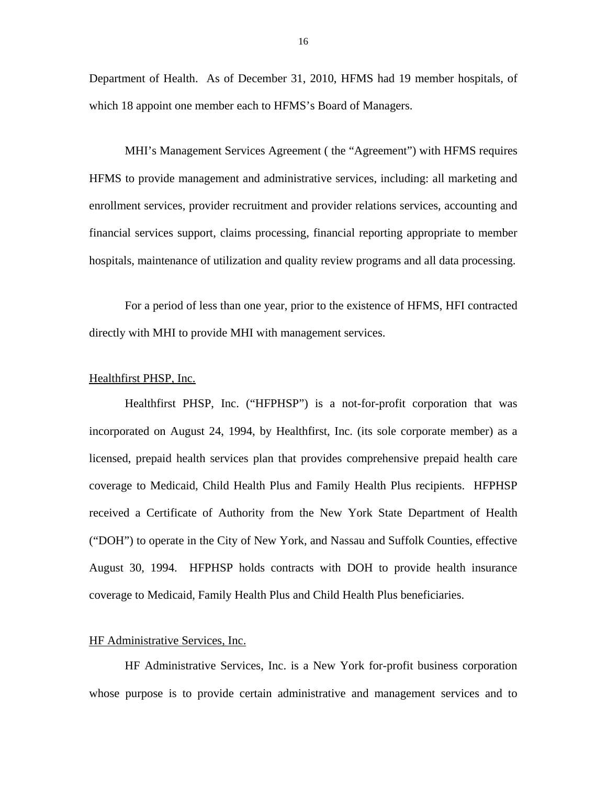Department of Health. As of December 31, 2010, HFMS had 19 member hospitals, of which 18 appoint one member each to HFMS's Board of Managers.

MHI's Management Services Agreement ( the "Agreement") with HFMS requires HFMS to provide management and administrative services, including: all marketing and enrollment services, provider recruitment and provider relations services, accounting and financial services support, claims processing, financial reporting appropriate to member hospitals, maintenance of utilization and quality review programs and all data processing.

For a period of less than one year, prior to the existence of HFMS, HFI contracted directly with MHI to provide MHI with management services.

### Healthfirst PHSP, Inc.

Healthfirst PHSP, Inc. ("HFPHSP") is a not-for-profit corporation that was incorporated on August 24, 1994, by Healthfirst, Inc. (its sole corporate member) as a licensed, prepaid health services plan that provides comprehensive prepaid health care coverage to Medicaid, Child Health Plus and Family Health Plus recipients. HFPHSP received a Certificate of Authority from the New York State Department of Health ("DOH") to operate in the City of New York, and Nassau and Suffolk Counties, effective August 30, 1994. HFPHSP holds contracts with DOH to provide health insurance coverage to Medicaid, Family Health Plus and Child Health Plus beneficiaries.

#### HF Administrative Services, Inc.

HF Administrative Services, Inc. is a New York for-profit business corporation whose purpose is to provide certain administrative and management services and to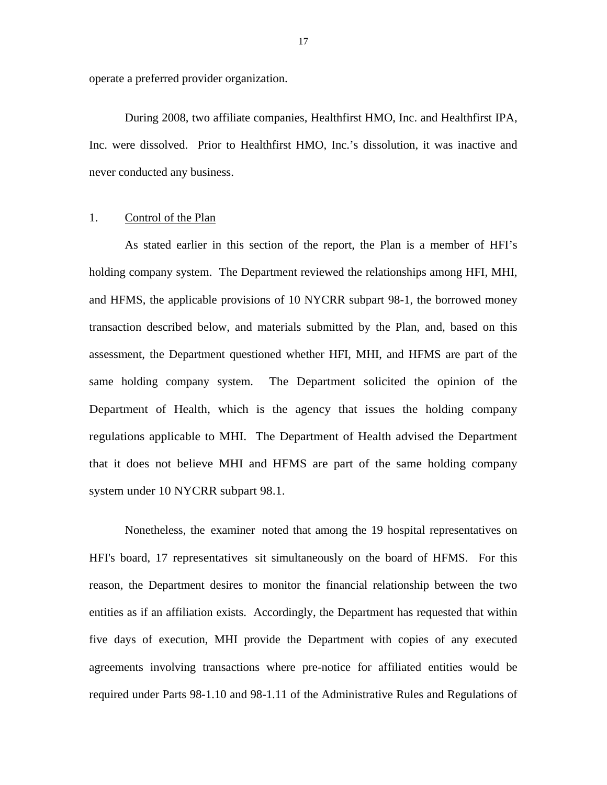operate a preferred provider organization.

During 2008, two affiliate companies, Healthfirst HMO, Inc. and Healthfirst IPA, Inc. were dissolved. Prior to Healthfirst HMO, Inc.'s dissolution, it was inactive and never conducted any business.

# 1. Control of the Plan

As stated earlier in this section of the report, the Plan is a member of HFI's holding company system. The Department reviewed the relationships among HFI, MHI, and HFMS, the applicable provisions of 10 NYCRR subpart 98-1, the borrowed money transaction described below, and materials submitted by the Plan, and, based on this assessment, the Department questioned whether HFI, MHI, and HFMS are part of the same holding company system. The Department solicited the opinion of the Department of Health, which is the agency that issues the holding company regulations applicable to MHI. The Department of Health advised the Department that it does not believe MHI and HFMS are part of the same holding company system under 10 NYCRR subpart 98.1.

Nonetheless, the examiner noted that among the 19 hospital representatives on HFI's board, 17 representatives sit simultaneously on the board of HFMS. For this reason, the Department desires to monitor the financial relationship between the two entities as if an affiliation exists. Accordingly, the Department has requested that within five days of execution, MHI provide the Department with copies of any executed agreements involving transactions where pre-notice for affiliated entities would be required under Parts 98-1.10 and 98-1.11 of the Administrative Rules and Regulations of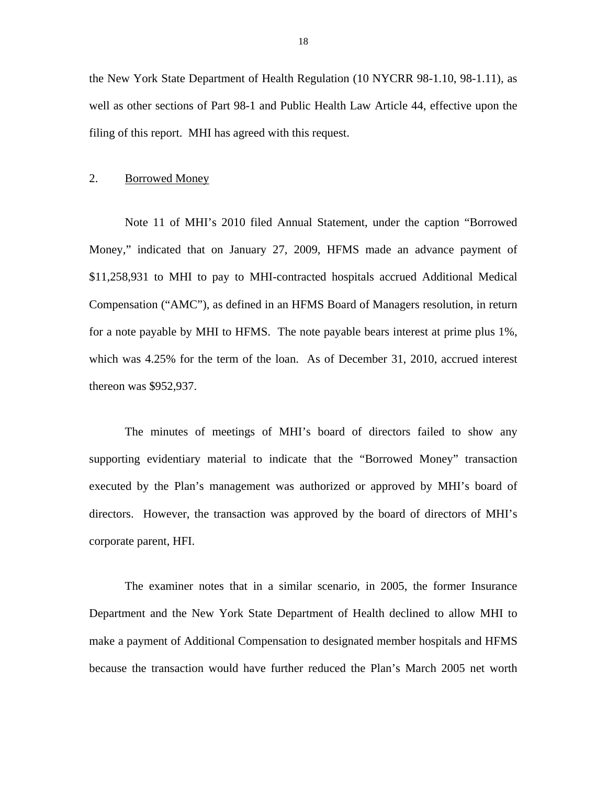the New York State Department of Health Regulation (10 NYCRR 98-1.10, 98-1.11), as well as other sections of Part 98-1 and Public Health Law Article 44, effective upon the filing of this report. MHI has agreed with this request.

## 2. Borrowed Money

Note 11 of MHI's 2010 filed Annual Statement, under the caption "Borrowed Money," indicated that on January 27, 2009, HFMS made an advance payment of \$11,258,931 to MHI to pay to MHI-contracted hospitals accrued Additional Medical Compensation ("AMC"), as defined in an HFMS Board of Managers resolution, in return for a note payable by MHI to HFMS. The note payable bears interest at prime plus 1%, which was 4.25% for the term of the loan. As of December 31, 2010, accrued interest thereon was \$952,937.

The minutes of meetings of MHI's board of directors failed to show any supporting evidentiary material to indicate that the "Borrowed Money" transaction executed by the Plan's management was authorized or approved by MHI's board of directors. However, the transaction was approved by the board of directors of MHI's corporate parent, HFI.

The examiner notes that in a similar scenario, in 2005, the former Insurance Department and the New York State Department of Health declined to allow MHI to make a payment of Additional Compensation to designated member hospitals and HFMS because the transaction would have further reduced the Plan's March 2005 net worth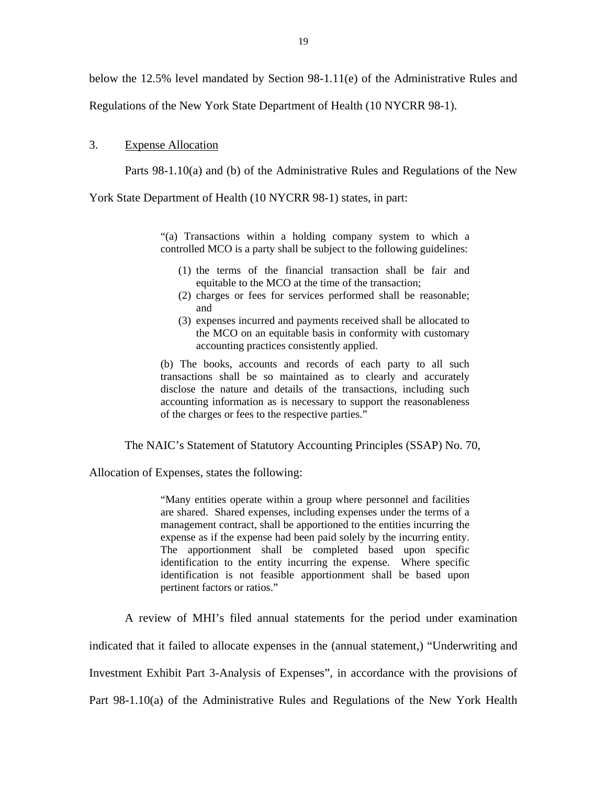below the 12.5% level mandated by Section 98-1.11(e) of the Administrative Rules and

Regulations of the New York State Department of Health (10 NYCRR 98-1).

#### 3. Expense Allocation

Parts 98-1.10(a) and (b) of the Administrative Rules and Regulations of the New

York State Department of Health (10 NYCRR 98-1) states, in part:

"(a) Transactions within a holding company system to which a controlled MCO is a party shall be subject to the following guidelines:

- (1) the terms of the financial transaction shall be fair and equitable to the MCO at the time of the transaction;
- (2) charges or fees for services performed shall be reasonable; and
- (3) expenses incurred and payments received shall be allocated to the MCO on an equitable basis in conformity with customary accounting practices consistently applied.

(b) The books, accounts and records of each party to all such transactions shall be so maintained as to clearly and accurately disclose the nature and details of the transactions, including such accounting information as is necessary to support the reasonableness of the charges or fees to the respective parties."

The NAIC's Statement of Statutory Accounting Principles (SSAP) No. 70,

Allocation of Expenses, states the following:

expense as if the expense had been paid solely by the incurring entity. "Many entities operate within a group where personnel and facilities are shared. Shared expenses, including expenses under the terms of a management contract, shall be apportioned to the entities incurring the The apportionment shall be completed based upon specific identification to the entity incurring the expense. Where specific identification is not feasible apportionment shall be based upon pertinent factors or ratios."

A review of MHI's filed annual statements for the period under examination

indicated that it failed to allocate expenses in the (annual statement,) "Underwriting and

Investment Exhibit Part 3-Analysis of Expenses", in accordance with the provisions of

Part 98-1.10(a) of the Administrative Rules and Regulations of the New York Health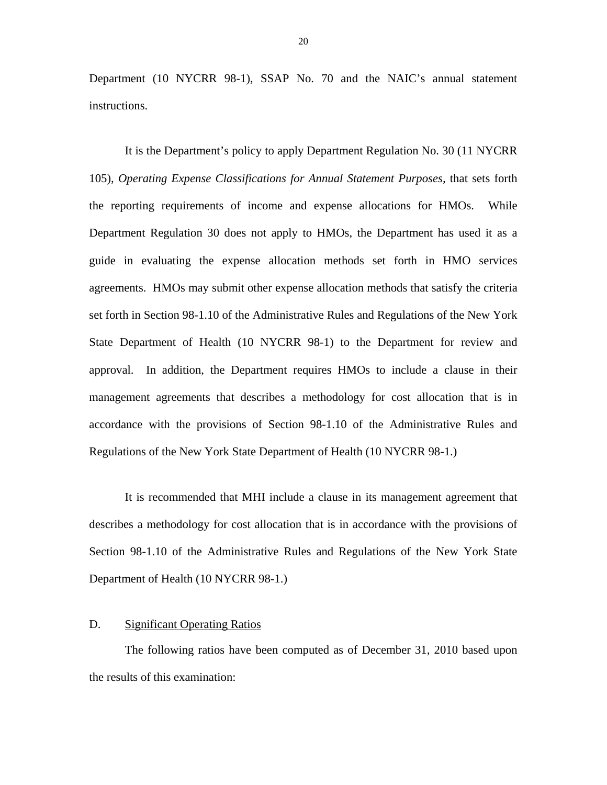Department (10 NYCRR 98-1), SSAP No. 70 and the NAIC's annual statement instructions.

It is the Department's policy to apply Department Regulation No. 30 (11 NYCRR 105), *Operating Expense Classifications for Annual Statement Purposes,* that sets forth the reporting requirements of income and expense allocations for HMOs. While Department Regulation 30 does not apply to HMOs, the Department has used it as a guide in evaluating the expense allocation methods set forth in HMO services agreements. HMOs may submit other expense allocation methods that satisfy the criteria set forth in Section 98-1.10 of the Administrative Rules and Regulations of the New York State Department of Health (10 NYCRR 98-1) to the Department for review and approval. In addition, the Department requires HMOs to include a clause in their management agreements that describes a methodology for cost allocation that is in accordance with the provisions of Section 98-1.10 of the Administrative Rules and Regulations of the New York State Department of Health (10 NYCRR 98-1.)

It is recommended that MHI include a clause in its management agreement that describes a methodology for cost allocation that is in accordance with the provisions of Section 98-1.10 of the Administrative Rules and Regulations of the New York State Department of Health (10 NYCRR 98-1.)

# D. Significant Operating Ratios

The following ratios have been computed as of December 31, 2010 based upon the results of this examination: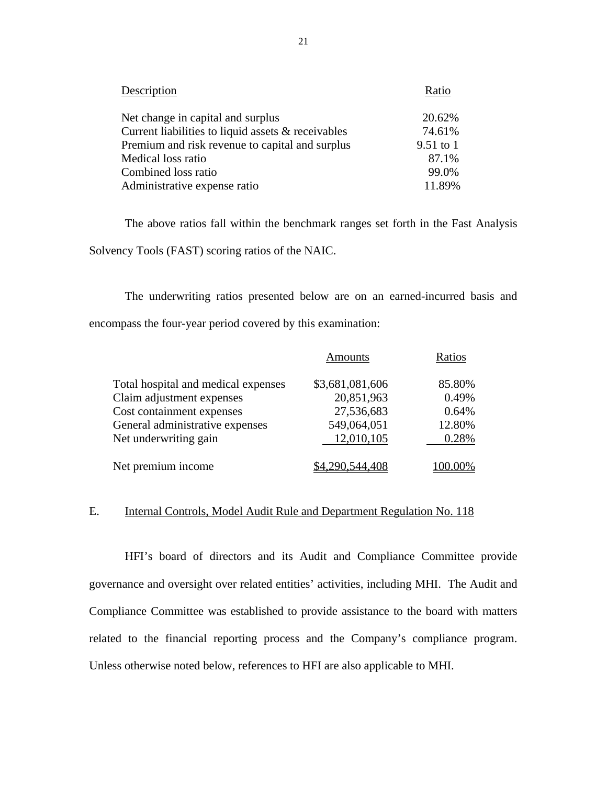| Description                                        | Ratio     |
|----------------------------------------------------|-----------|
| Net change in capital and surplus                  | 20.62%    |
| Current liabilities to liquid assets & receivables | 74.61%    |
| Premium and risk revenue to capital and surplus    | 9.51 to 1 |
| Medical loss ratio                                 | 87.1%     |
| Combined loss ratio                                | 99.0%     |
| Administrative expense ratio                       | 11.89%    |

The above ratios fall within the benchmark ranges set forth in the Fast Analysis Solvency Tools (FAST) scoring ratios of the NAIC.

The underwriting ratios presented below are on an earned-incurred basis and encompass the four-year period covered by this examination:

|                                     | <b>Amounts</b>  | Ratios |
|-------------------------------------|-----------------|--------|
| Total hospital and medical expenses | \$3,681,081,606 | 85.80% |
| Claim adjustment expenses           | 20,851,963      | 0.49%  |
| Cost containment expenses           | 27,536,683      | 0.64%  |
| General administrative expenses     | 549,064,051     | 12.80% |
| Net underwriting gain               | 12,010,105      | 0.28%  |
| Net premium income                  |                 |        |

# E. Internal Controls, Model Audit Rule and Department Regulation No. 118

HFI's board of directors and its Audit and Compliance Committee provide governance and oversight over related entities' activities, including MHI. The Audit and Compliance Committee was established to provide assistance to the board with matters related to the financial reporting process and the Company's compliance program. Unless otherwise noted below, references to HFI are also applicable to MHI.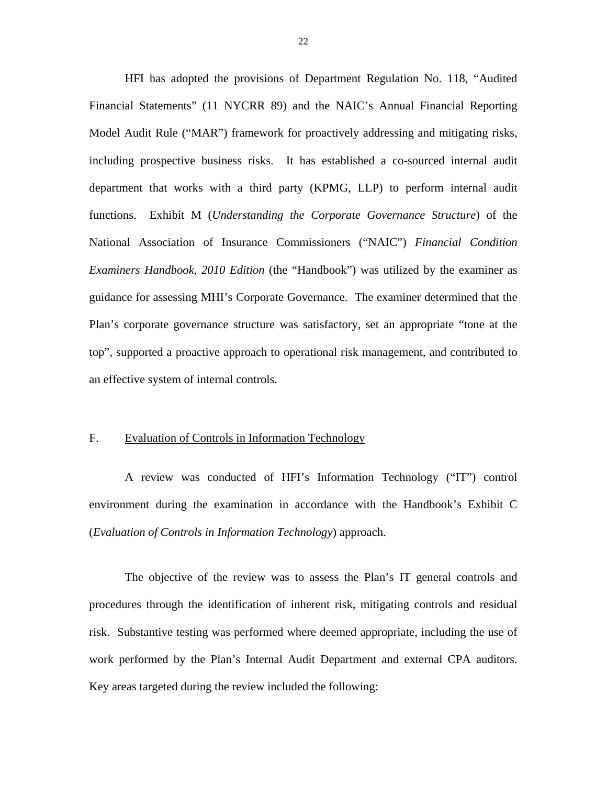functions. Exhibit M (*Understanding the Corporate Governance Structure*) of the HFI has adopted the provisions of Department Regulation No. 118, "Audited Financial Statements" (11 NYCRR 89) and the NAIC's Annual Financial Reporting Model Audit Rule ("MAR") framework for proactively addressing and mitigating risks, including prospective business risks. It has established a co-sourced internal audit department that works with a third party (KPMG, LLP) to perform internal audit National Association of Insurance Commissioners ("NAIC") *Financial Condition Examiners Handbook, 2010 Edition* (the "Handbook") was utilized by the examiner as guidance for assessing MHI's Corporate Governance. The examiner determined that the Plan's corporate governance structure was satisfactory, set an appropriate "tone at the top", supported a proactive approach to operational risk management, and contributed to an effective system of internal controls.

# F. Evaluation of Controls in Information Technology

A review was conducted of HFI's Information Technology ("IT") control environment during the examination in accordance with the Handbook's Exhibit C (*Evaluation of Controls in Information Technology*) approach.

 work performed by the Plan's Internal Audit Department and external CPA auditors. Key areas targeted during the review included the following: The objective of the review was to assess the Plan's IT general controls and procedures through the identification of inherent risk, mitigating controls and residual risk. Substantive testing was performed where deemed appropriate, including the use of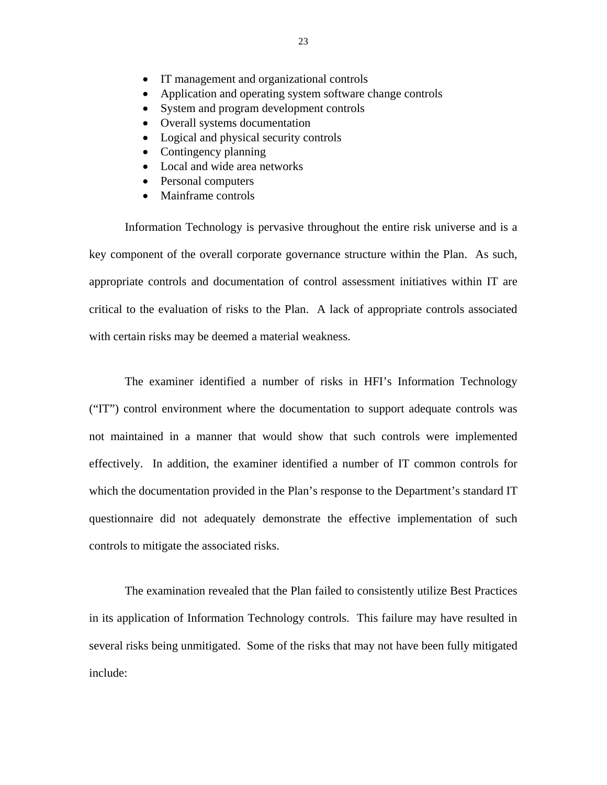- IT management and organizational controls
- Application and operating system software change controls
- System and program development controls
- Overall systems documentation
- Logical and physical security controls
- Contingency planning
- Local and wide area networks
- Personal computers
- Mainframe controls

Information Technology is pervasive throughout the entire risk universe and is a key component of the overall corporate governance structure within the Plan. As such, appropriate controls and documentation of control assessment initiatives within IT are critical to the evaluation of risks to the Plan. A lack of appropriate controls associated with certain risks may be deemed a material weakness.

The examiner identified a number of risks in HFI's Information Technology ("IT") control environment where the documentation to support adequate controls was not maintained in a manner that would show that such controls were implemented effectively. In addition, the examiner identified a number of IT common controls for which the documentation provided in the Plan's response to the Department's standard IT questionnaire did not adequately demonstrate the effective implementation of such controls to mitigate the associated risks.

The examination revealed that the Plan failed to consistently utilize Best Practices in its application of Information Technology controls. This failure may have resulted in several risks being unmitigated. Some of the risks that may not have been fully mitigated include: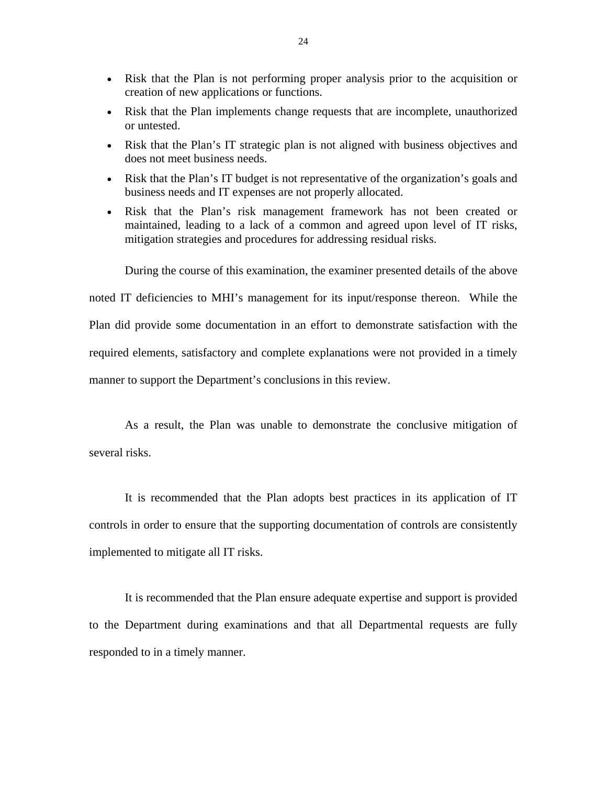- Risk that the Plan is not performing proper analysis prior to the acquisition or creation of new applications or functions.
- Risk that the Plan implements change requests that are incomplete, unauthorized or untested.
- Risk that the Plan's IT strategic plan is not aligned with business objectives and does not meet business needs.
- Risk that the Plan's IT budget is not representative of the organization's goals and business needs and IT expenses are not properly allocated.
- Risk that the Plan's risk management framework has not been created or maintained, leading to a lack of a common and agreed upon level of IT risks, mitigation strategies and procedures for addressing residual risks.

During the course of this examination, the examiner presented details of the above noted IT deficiencies to MHI's management for its input/response thereon. While the Plan did provide some documentation in an effort to demonstrate satisfaction with the required elements, satisfactory and complete explanations were not provided in a timely manner to support the Department's conclusions in this review.

As a result, the Plan was unable to demonstrate the conclusive mitigation of several risks.

It is recommended that the Plan adopts best practices in its application of IT controls in order to ensure that the supporting documentation of controls are consistently implemented to mitigate all IT risks.

It is recommended that the Plan ensure adequate expertise and support is provided to the Department during examinations and that all Departmental requests are fully responded to in a timely manner.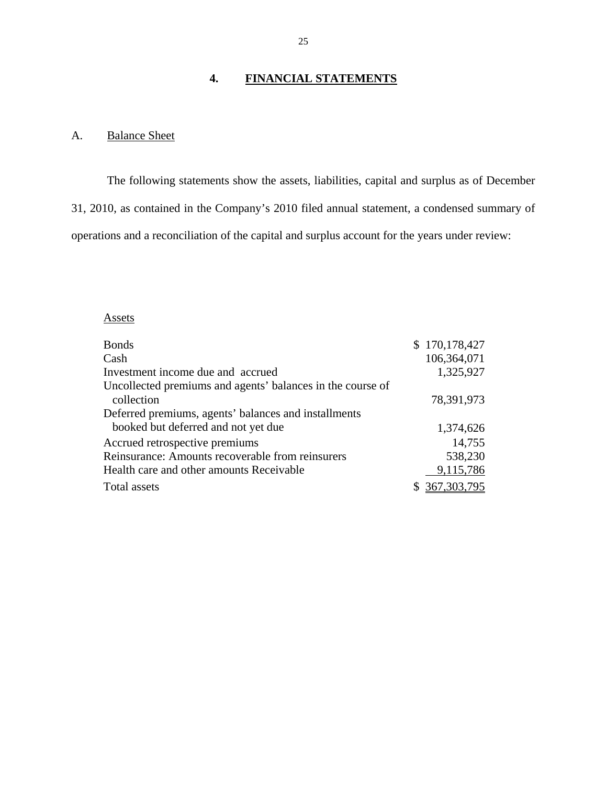# **4. FINANCIAL STATEMENTS**

# A. Balance Sheet

The following statements show the assets, liabilities, capital and surplus as of December 31, 2010, as contained in the Company's 2010 filed annual statement, a condensed summary of operations and a reconciliation of the capital and surplus account for the years under review:

# Assets

| <b>Bonds</b>                                               | \$170,178,427 |
|------------------------------------------------------------|---------------|
| Cash                                                       | 106,364,071   |
| Investment income due and accrued                          | 1,325,927     |
| Uncollected premiums and agents' balances in the course of |               |
| collection                                                 | 78,391,973    |
| Deferred premiums, agents' balances and installments       |               |
| booked but deferred and not yet due                        | 1,374,626     |
| Accrued retrospective premiums                             | 14,755        |
| Reinsurance: Amounts recoverable from reinsurers           | 538,230       |
| Health care and other amounts Receivable                   | 9,115,786     |
| Total assets                                               | \$367,303,795 |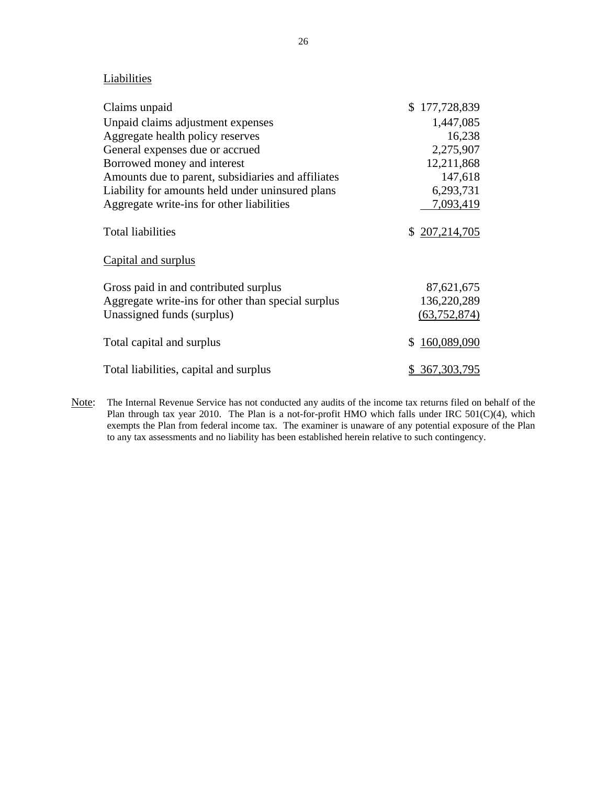# **Liabilities**

| Claims unpaid                                      | \$177,728,839  |
|----------------------------------------------------|----------------|
| Unpaid claims adjustment expenses                  | 1,447,085      |
| Aggregate health policy reserves                   | 16,238         |
| General expenses due or accrued                    | 2,275,907      |
| Borrowed money and interest                        | 12,211,868     |
| Amounts due to parent, subsidiaries and affiliates | 147,618        |
| Liability for amounts held under uninsured plans   | 6,293,731      |
| Aggregate write-ins for other liabilities          | 7,093,419      |
| <b>Total liabilities</b>                           | \$207,214,705  |
| Capital and surplus                                |                |
| Gross paid in and contributed surplus              | 87,621,675     |
| Aggregate write-ins for other than special surplus | 136,220,289    |
| Unassigned funds (surplus)                         | (63, 752, 874) |
| Total capital and surplus                          | \$160,089,090  |
| Total liabilities, capital and surplus             | \$ 367,303,795 |

Note: The Internal Revenue Service has not conducted any audits of the income tax returns filed on behalf of the Plan through tax year 2010. The Plan is a not-for-profit HMO which falls under IRC 501(C)(4), which exempts the Plan from federal income tax. The examiner is unaware of any potential exposure of the Plan to any tax assessments and no liability has been established herein relative to such contingency.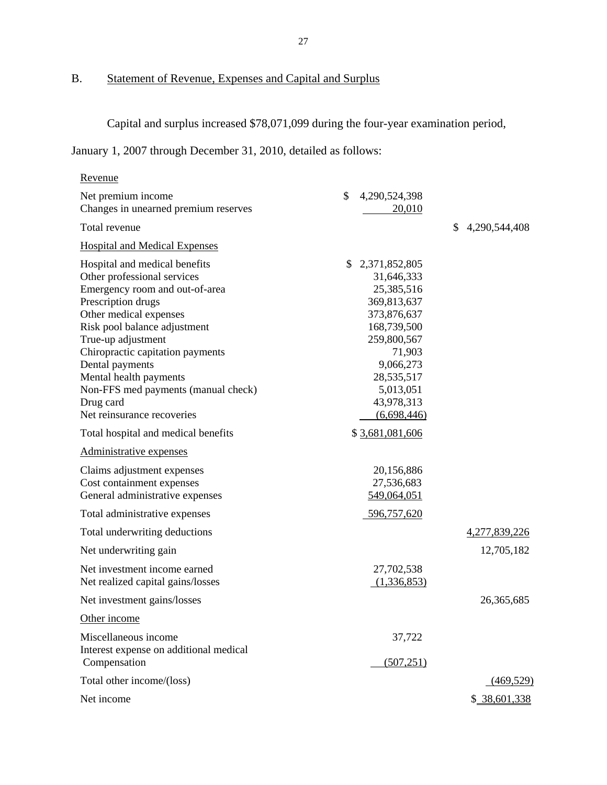# B. Statement of Revenue, Expenses and Capital and Surplus

Capital and surplus increased \$78,071,099 during the four-year examination period,

January 1, 2007 through December 31, 2010, detailed as follows:

| Revenue                                                                                                                                                                                                                                                                                                                                                                 |                                                                                                                                                                                            |                     |
|-------------------------------------------------------------------------------------------------------------------------------------------------------------------------------------------------------------------------------------------------------------------------------------------------------------------------------------------------------------------------|--------------------------------------------------------------------------------------------------------------------------------------------------------------------------------------------|---------------------|
| Net premium income<br>Changes in unearned premium reserves                                                                                                                                                                                                                                                                                                              | \$<br>4,290,524,398<br>20,010                                                                                                                                                              |                     |
| Total revenue                                                                                                                                                                                                                                                                                                                                                           |                                                                                                                                                                                            | \$<br>4,290,544,408 |
| <b>Hospital and Medical Expenses</b>                                                                                                                                                                                                                                                                                                                                    |                                                                                                                                                                                            |                     |
| Hospital and medical benefits<br>Other professional services<br>Emergency room and out-of-area<br>Prescription drugs<br>Other medical expenses<br>Risk pool balance adjustment<br>True-up adjustment<br>Chiropractic capitation payments<br>Dental payments<br>Mental health payments<br>Non-FFS med payments (manual check)<br>Drug card<br>Net reinsurance recoveries | \$<br>2,371,852,805<br>31,646,333<br>25,385,516<br>369,813,637<br>373,876,637<br>168,739,500<br>259,800,567<br>71,903<br>9,066,273<br>28,535,517<br>5,013,051<br>43,978,313<br>(6,698,446) |                     |
| Total hospital and medical benefits                                                                                                                                                                                                                                                                                                                                     | \$ 3,681,081,606                                                                                                                                                                           |                     |
| Administrative expenses                                                                                                                                                                                                                                                                                                                                                 |                                                                                                                                                                                            |                     |
| Claims adjustment expenses<br>Cost containment expenses<br>General administrative expenses                                                                                                                                                                                                                                                                              | 20,156,886<br>27,536,683<br>549,064,051                                                                                                                                                    |                     |
| Total administrative expenses                                                                                                                                                                                                                                                                                                                                           | 596,757,620                                                                                                                                                                                |                     |
| Total underwriting deductions                                                                                                                                                                                                                                                                                                                                           |                                                                                                                                                                                            | 4,277,839,226       |
| Net underwriting gain                                                                                                                                                                                                                                                                                                                                                   |                                                                                                                                                                                            | 12,705,182          |
| Net investment income earned<br>Net realized capital gains/losses                                                                                                                                                                                                                                                                                                       | 27,702,538<br>(1,336,853)                                                                                                                                                                  |                     |
| Net investment gains/losses                                                                                                                                                                                                                                                                                                                                             |                                                                                                                                                                                            | 26, 365, 685        |
| Other income                                                                                                                                                                                                                                                                                                                                                            |                                                                                                                                                                                            |                     |
| Miscellaneous income<br>Interest expense on additional medical<br>Compensation                                                                                                                                                                                                                                                                                          | 37,722<br>(507, 251)                                                                                                                                                                       |                     |
| Total other income/(loss)                                                                                                                                                                                                                                                                                                                                               |                                                                                                                                                                                            | (469, 529)          |
| Net income                                                                                                                                                                                                                                                                                                                                                              |                                                                                                                                                                                            | \$ 38,601,338       |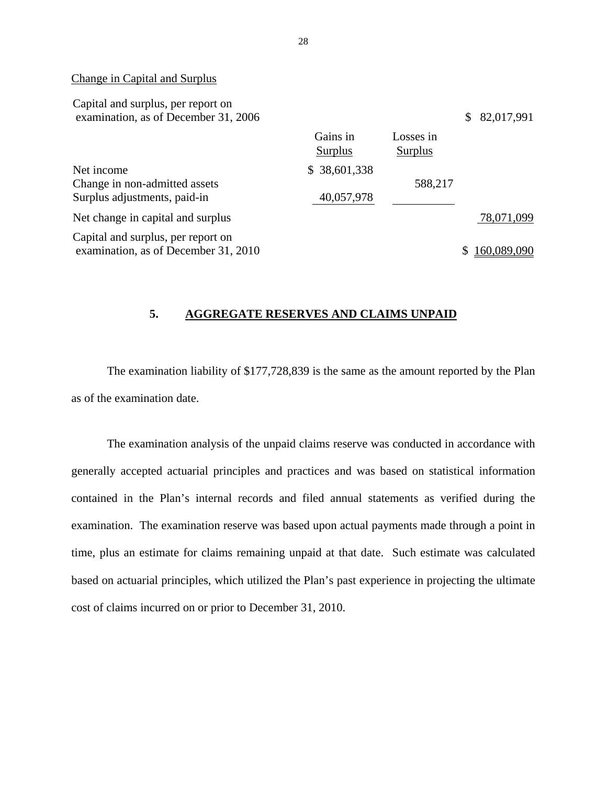#### Change in Capital and Surplus

| Capital and surplus, per report on<br>examination, as of December 31, 2006  |                            |                      | \$<br>82,017,991 |
|-----------------------------------------------------------------------------|----------------------------|----------------------|------------------|
|                                                                             | Gains in<br>Surplus        | Losses in<br>Surplus |                  |
| Net income<br>Change in non-admitted assets<br>Surplus adjustments, paid-in | \$38,601,338<br>40,057,978 | 588,217              |                  |
| Net change in capital and surplus                                           |                            |                      | 78,071,099       |
| Capital and surplus, per report on<br>examination, as of December 31, 2010  |                            |                      | 160,089,090      |

# **5. AGGREGATE RESERVES AND CLAIMS UNPAID**

The examination liability of \$177,728,839 is the same as the amount reported by the Plan as of the examination date.

The examination analysis of the unpaid claims reserve was conducted in accordance with generally accepted actuarial principles and practices and was based on statistical information contained in the Plan's internal records and filed annual statements as verified during the examination. The examination reserve was based upon actual payments made through a point in time, plus an estimate for claims remaining unpaid at that date. Such estimate was calculated based on actuarial principles, which utilized the Plan's past experience in projecting the ultimate cost of claims incurred on or prior to December 31, 2010.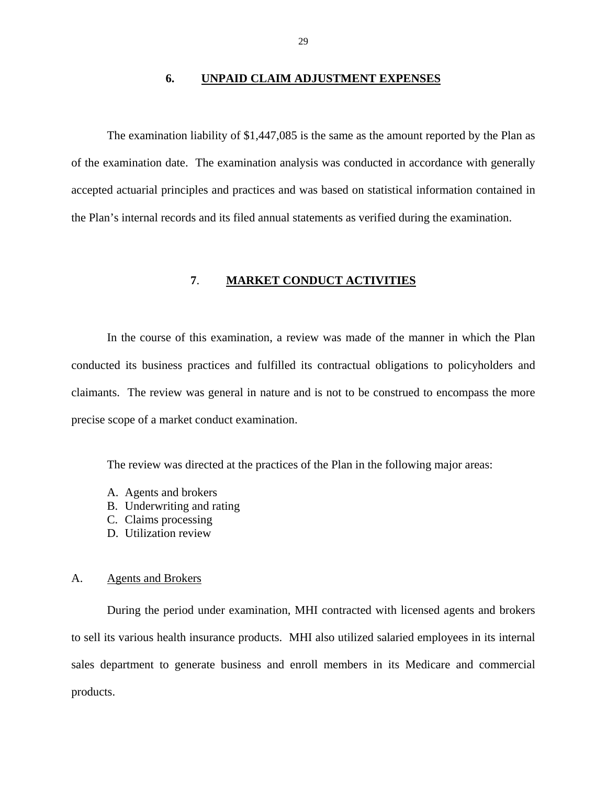#### **6. UNPAID CLAIM ADJUSTMENT EXPENSES**

The examination liability of \$1,447,085 is the same as the amount reported by the Plan as of the examination date. The examination analysis was conducted in accordance with generally accepted actuarial principles and practices and was based on statistical information contained in the Plan's internal records and its filed annual statements as verified during the examination.

## **7**. **MARKET CONDUCT ACTIVITIES**

In the course of this examination, a review was made of the manner in which the Plan conducted its business practices and fulfilled its contractual obligations to policyholders and claimants. The review was general in nature and is not to be construed to encompass the more precise scope of a market conduct examination.

The review was directed at the practices of the Plan in the following major areas:

- A. Agents and brokers
- B. Underwriting and rating
- C. Claims processing
- D. Utilization review

### A. Agents and Brokers

During the period under examination, MHI contracted with licensed agents and brokers to sell its various health insurance products. MHI also utilized salaried employees in its internal sales department to generate business and enroll members in its Medicare and commercial products.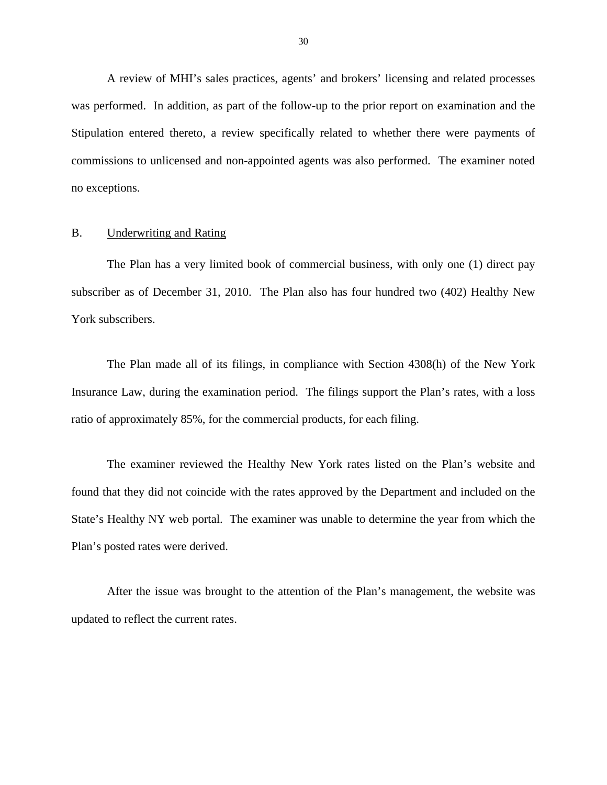A review of MHI's sales practices, agents' and brokers' licensing and related processes was performed. In addition, as part of the follow-up to the prior report on examination and the Stipulation entered thereto, a review specifically related to whether there were payments of commissions to unlicensed and non-appointed agents was also performed. The examiner noted no exceptions.

#### B. Underwriting and Rating

The Plan has a very limited book of commercial business, with only one (1) direct pay subscriber as of December 31, 2010. The Plan also has four hundred two (402) Healthy New York subscribers.

The Plan made all of its filings, in compliance with Section 4308(h) of the New York Insurance Law, during the examination period. The filings support the Plan's rates, with a loss ratio of approximately 85%, for the commercial products, for each filing.

The examiner reviewed the Healthy New York rates listed on the Plan's website and found that they did not coincide with the rates approved by the Department and included on the State's Healthy NY web portal. The examiner was unable to determine the year from which the Plan's posted rates were derived.

After the issue was brought to the attention of the Plan's management, the website was updated to reflect the current rates.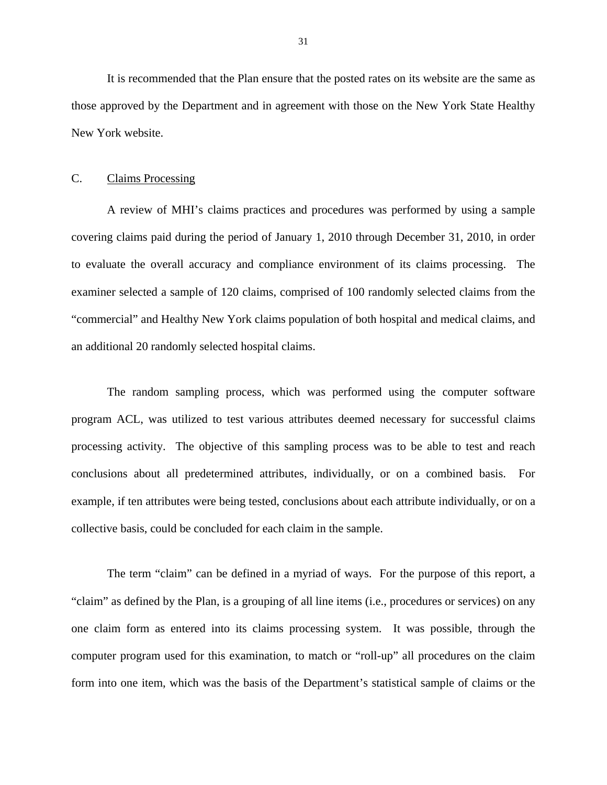It is recommended that the Plan ensure that the posted rates on its website are the same as those approved by the Department and in agreement with those on the New York State Healthy New York website.

# C. Claims Processing

A review of MHI's claims practices and procedures was performed by using a sample covering claims paid during the period of January 1, 2010 through December 31, 2010, in order to evaluate the overall accuracy and compliance environment of its claims processing. The examiner selected a sample of 120 claims, comprised of 100 randomly selected claims from the "commercial" and Healthy New York claims population of both hospital and medical claims, and an additional 20 randomly selected hospital claims.

The random sampling process, which was performed using the computer software program ACL, was utilized to test various attributes deemed necessary for successful claims processing activity. The objective of this sampling process was to be able to test and reach conclusions about all predetermined attributes, individually, or on a combined basis. For example, if ten attributes were being tested, conclusions about each attribute individually, or on a collective basis, could be concluded for each claim in the sample.

The term "claim" can be defined in a myriad of ways. For the purpose of this report, a "claim" as defined by the Plan, is a grouping of all line items (i.e., procedures or services) on any one claim form as entered into its claims processing system. It was possible, through the computer program used for this examination, to match or "roll-up" all procedures on the claim form into one item, which was the basis of the Department's statistical sample of claims or the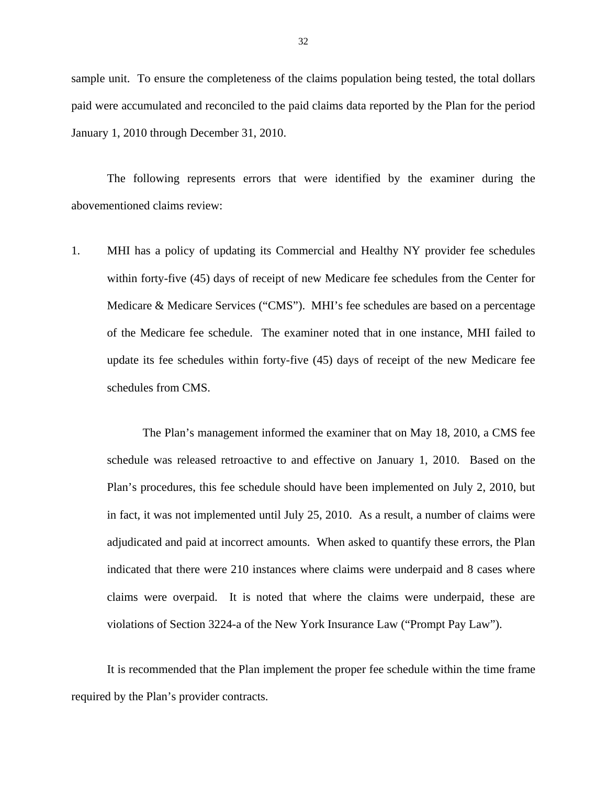sample unit. To ensure the completeness of the claims population being tested, the total dollars paid were accumulated and reconciled to the paid claims data reported by the Plan for the period January 1, 2010 through December 31, 2010.

The following represents errors that were identified by the examiner during the abovementioned claims review:

1. MHI has a policy of updating its Commercial and Healthy NY provider fee schedules within forty-five (45) days of receipt of new Medicare fee schedules from the Center for Medicare & Medicare Services ("CMS"). MHI's fee schedules are based on a percentage of the Medicare fee schedule. The examiner noted that in one instance, MHI failed to update its fee schedules within forty-five (45) days of receipt of the new Medicare fee schedules from CMS.

The Plan's management informed the examiner that on May 18, 2010, a CMS fee schedule was released retroactive to and effective on January 1, 2010. Based on the Plan's procedures, this fee schedule should have been implemented on July 2, 2010, but in fact, it was not implemented until July 25, 2010. As a result, a number of claims were adjudicated and paid at incorrect amounts. When asked to quantify these errors, the Plan indicated that there were 210 instances where claims were underpaid and 8 cases where claims were overpaid. It is noted that where the claims were underpaid, these are violations of Section 3224-a of the New York Insurance Law ("Prompt Pay Law").

It is recommended that the Plan implement the proper fee schedule within the time frame required by the Plan's provider contracts.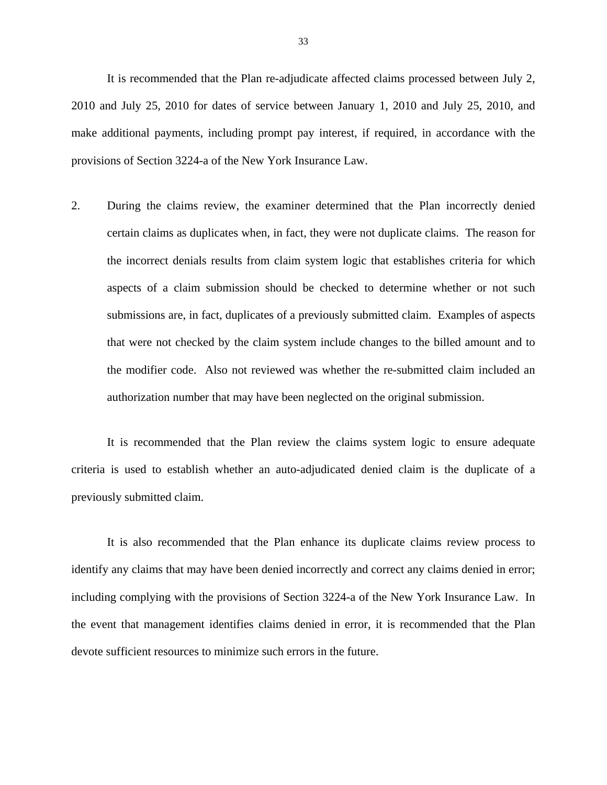It is recommended that the Plan re-adjudicate affected claims processed between July 2, 2010 and July 25, 2010 for dates of service between January 1, 2010 and July 25, 2010, and make additional payments, including prompt pay interest, if required, in accordance with the provisions of Section 3224-a of the New York Insurance Law.

2. During the claims review, the examiner determined that the Plan incorrectly denied certain claims as duplicates when, in fact, they were not duplicate claims. The reason for the incorrect denials results from claim system logic that establishes criteria for which aspects of a claim submission should be checked to determine whether or not such submissions are, in fact, duplicates of a previously submitted claim. Examples of aspects that were not checked by the claim system include changes to the billed amount and to the modifier code. Also not reviewed was whether the re-submitted claim included an authorization number that may have been neglected on the original submission.

It is recommended that the Plan review the claims system logic to ensure adequate criteria is used to establish whether an auto-adjudicated denied claim is the duplicate of a previously submitted claim.

It is also recommended that the Plan enhance its duplicate claims review process to identify any claims that may have been denied incorrectly and correct any claims denied in error; including complying with the provisions of Section 3224-a of the New York Insurance Law. In the event that management identifies claims denied in error, it is recommended that the Plan devote sufficient resources to minimize such errors in the future.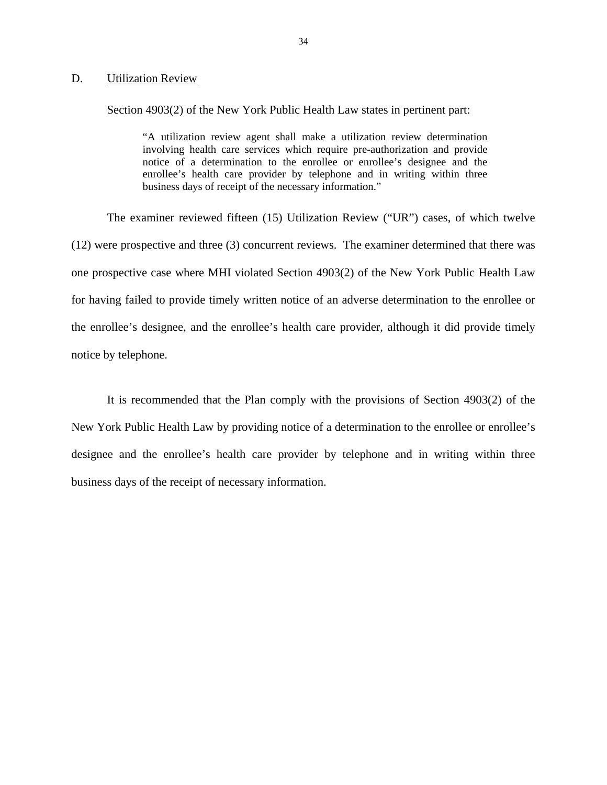#### D. Utilization Review

Section 4903(2) of the New York Public Health Law states in pertinent part:

"A utilization review agent shall make a utilization review determination involving health care services which require pre-authorization and provide notice of a determination to the enrollee or enrollee's designee and the enrollee's health care provider by telephone and in writing within three business days of receipt of the necessary information."

The examiner reviewed fifteen (15) Utilization Review ("UR") cases, of which twelve (12) were prospective and three (3) concurrent reviews. The examiner determined that there was one prospective case where MHI violated Section 4903(2) of the New York Public Health Law for having failed to provide timely written notice of an adverse determination to the enrollee or the enrollee's designee, and the enrollee's health care provider, although it did provide timely notice by telephone.

It is recommended that the Plan comply with the provisions of Section 4903(2) of the New York Public Health Law by providing notice of a determination to the enrollee or enrollee's designee and the enrollee's health care provider by telephone and in writing within three business days of the receipt of necessary information.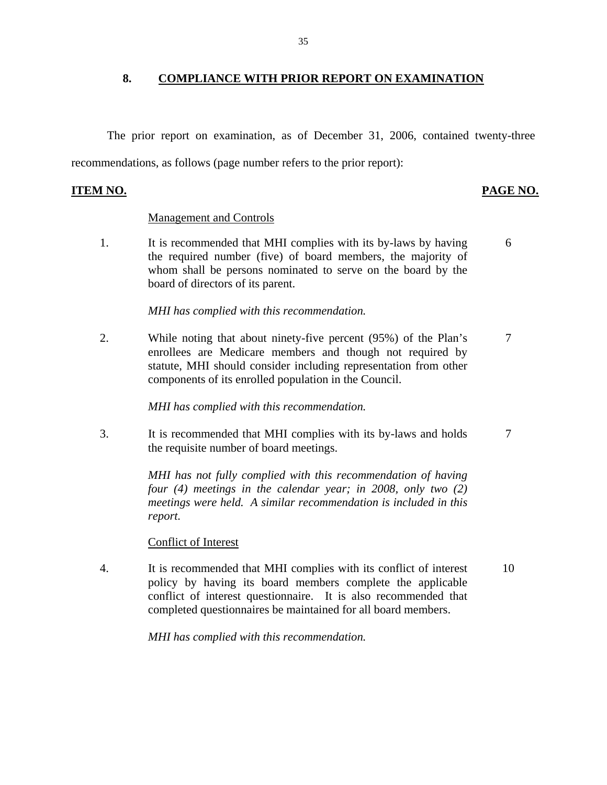# **8. COMPLIANCE WITH PRIOR REPORT ON EXAMINATION**

The prior report on examination, as of December 31, 2006, contained twenty-three recommendations, as follows (page number refers to the prior report):

# **ITEM NO. PAGE NO.**

# Management and Controls

1. It is recommended that MHI complies with its by-laws by having 6 the required number (five) of board members, the majority of whom shall be persons nominated to serve on the board by the board of directors of its parent.

# *MHI has complied with this recommendation.*

2. While noting that about ninety-five percent (95%) of the Plan's 7 enrollees are Medicare members and though not required by statute, MHI should consider including representation from other components of its enrolled population in the Council.

*MHI has complied with this recommendation.* 

3. It is recommended that MHI complies with its by-laws and holds 7 the requisite number of board meetings.

> *MHI has not fully complied with this recommendation of having four (4) meetings in the calendar year; in 2008, only two (2) meetings were held. A similar recommendation is included in this report.*

## Conflict of Interest

4. It is recommended that MHI complies with its conflict of interest 10 policy by having its board members complete the applicable conflict of interest questionnaire. It is also recommended that completed questionnaires be maintained for all board members.

*MHI has complied with this recommendation.*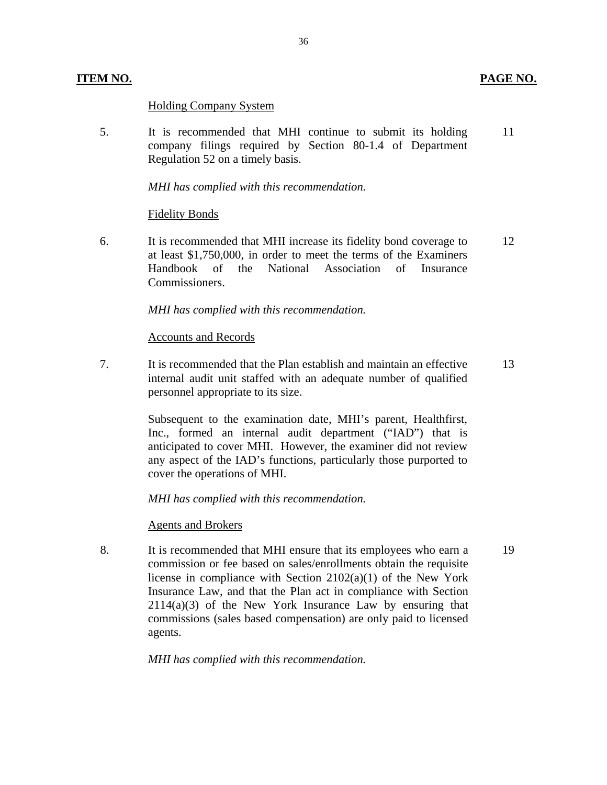# **ITEM NO. PAGE NO.**

19

# **Holding Company System**

5. It is recommended that MHI continue to submit its holding company filings required by Section 80-1.4 of Department Regulation 52 on a timely basis. 11

*MHI has complied with this recommendation.* 

## Fidelity Bonds

6. It is recommended that MHI increase its fidelity bond coverage to at least \$1,750,000, in order to meet the terms of the Examiners Handbook of the National Association of Insurance Commissioners. 12

*MHI has complied with this recommendation.* 

# Accounts and Records

7. It is recommended that the Plan establish and maintain an effective internal audit unit staffed with an adequate number of qualified personnel appropriate to its size. 13

> cover the operations of MHI. Subsequent to the examination date, MHI's parent, Healthfirst, Inc., formed an internal audit department ("IAD") that is anticipated to cover MHI. However, the examiner did not review any aspect of the IAD's functions, particularly those purported to

*MHI has complied with this recommendation.* 

## Agents and Brokers

8. It is recommended that MHI ensure that its employees who earn a commission or fee based on sales/enrollments obtain the requisite license in compliance with Section 2102(a)(1) of the New York Insurance Law, and that the Plan act in compliance with Section 2114(a)(3) of the New York Insurance Law by ensuring that commissions (sales based compensation) are only paid to licensed agents.

*MHI has complied with this recommendation.*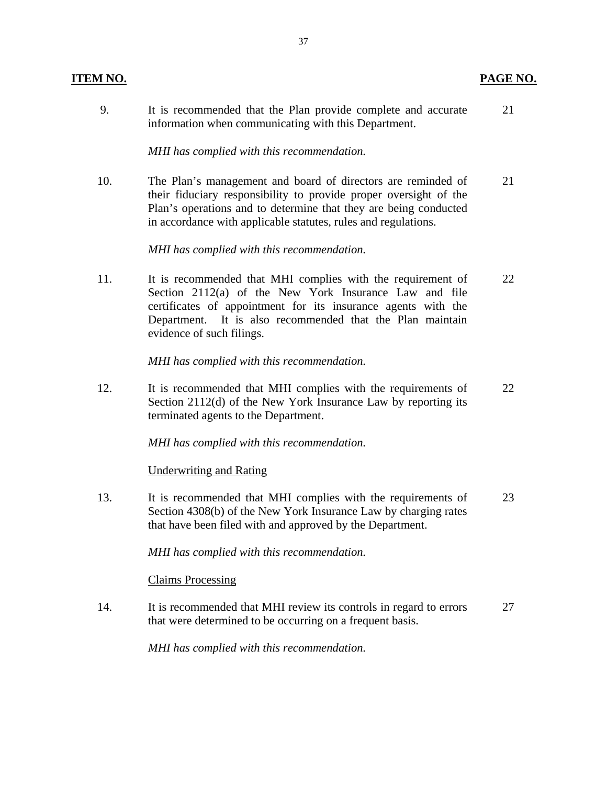| 9.  | It is recommended that the Plan provide complete and accurate<br>information when communicating with this Department.                                                                                                                                                            | 21 |
|-----|----------------------------------------------------------------------------------------------------------------------------------------------------------------------------------------------------------------------------------------------------------------------------------|----|
|     | MHI has complied with this recommendation.                                                                                                                                                                                                                                       |    |
| 10. | The Plan's management and board of directors are reminded of<br>their fiduciary responsibility to provide proper oversight of the<br>Plan's operations and to determine that they are being conducted<br>in accordance with applicable statutes, rules and regulations.          | 21 |
|     | MHI has complied with this recommendation.                                                                                                                                                                                                                                       |    |
| 11. | It is recommended that MHI complies with the requirement of<br>Section 2112(a) of the New York Insurance Law and file<br>certificates of appointment for its insurance agents with the<br>Department. It is also recommended that the Plan maintain<br>evidence of such filings. | 22 |
|     | MHI has complied with this recommendation.                                                                                                                                                                                                                                       |    |
| 12. | It is recommended that MHI complies with the requirements of<br>Section 2112(d) of the New York Insurance Law by reporting its<br>terminated agents to the Department.                                                                                                           | 22 |
|     | MHI has complied with this recommendation.                                                                                                                                                                                                                                       |    |
|     | <b>Underwriting and Rating</b>                                                                                                                                                                                                                                                   |    |
| 13. | It is recommended that MHI complies with the requirements of<br>Section 4308(b) of the New York Insurance Law by charging rates<br>that have been filed with and approved by the Department.                                                                                     | 23 |
|     | MHI has complied with this recommendation.                                                                                                                                                                                                                                       |    |
|     | <b>Claims Processing</b>                                                                                                                                                                                                                                                         |    |

14. It is recommended that MHI review its controls in regard to errors 27 that were determined to be occurring on a frequent basis.

*MHI has complied with this recommendation.* 

**ITEM NO. PAGE NO.**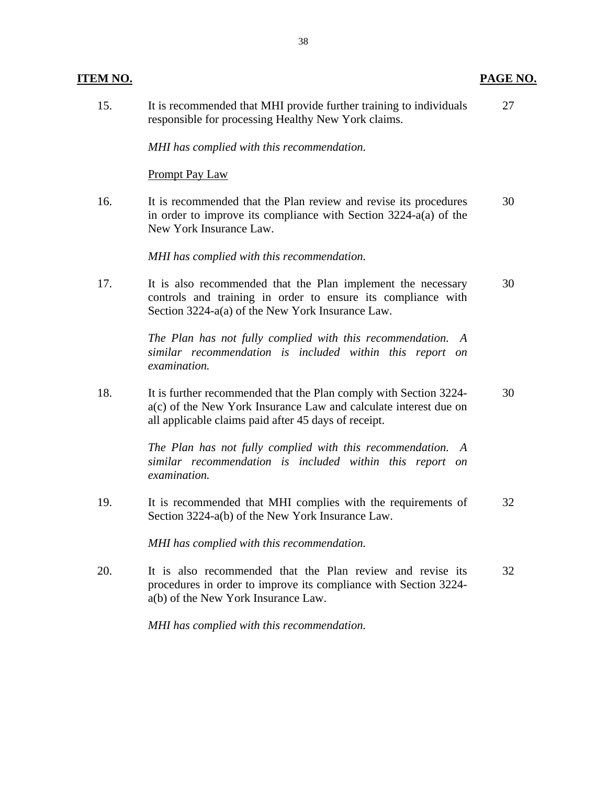| <u>ITEM NO.</u> |                                                                                                                                                                                               | PAGE NO. |
|-----------------|-----------------------------------------------------------------------------------------------------------------------------------------------------------------------------------------------|----------|
| 15.             | It is recommended that MHI provide further training to individuals<br>responsible for processing Healthy New York claims.                                                                     | 27       |
|                 | MHI has complied with this recommendation.                                                                                                                                                    |          |
|                 | <b>Prompt Pay Law</b>                                                                                                                                                                         |          |
| 16.             | It is recommended that the Plan review and revise its procedures<br>in order to improve its compliance with Section $3224-a(a)$ of the<br>New York Insurance Law.                             | 30       |
|                 | MHI has complied with this recommendation.                                                                                                                                                    |          |
| 17.             | It is also recommended that the Plan implement the necessary<br>controls and training in order to ensure its compliance with<br>Section 3224-a(a) of the New York Insurance Law.              | 30       |
|                 | The Plan has not fully complied with this recommendation. A<br>similar recommendation is included within this report on<br>examination.                                                       |          |
| 18.             | It is further recommended that the Plan comply with Section 3224-<br>a(c) of the New York Insurance Law and calculate interest due on<br>all applicable claims paid after 45 days of receipt. | 30       |
|                 | The Plan has not fully complied with this recommendation. A<br>similar recommendation is included within this report on<br>examination.                                                       |          |
| 19.             | It is recommended that MHI complies with the requirements of<br>Section 3224-a(b) of the New York Insurance Law.                                                                              | 32       |
|                 | MHI has complied with this recommendation.                                                                                                                                                    |          |
| 20.             | It is also recommended that the Plan review and revise its<br>procedures in order to improve its compliance with Section 3224-<br>a(b) of the New York Insurance Law.                         | 32       |
|                 | MHI has complied with this recommendation.                                                                                                                                                    |          |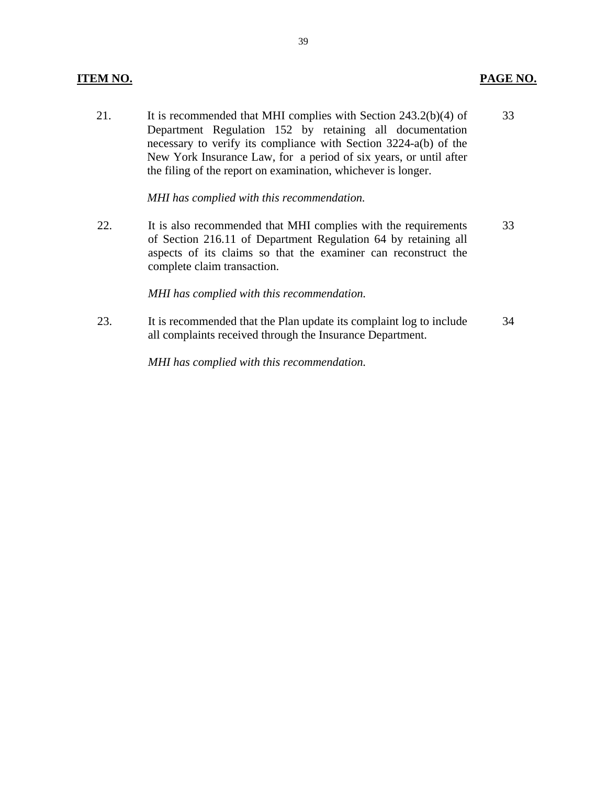# **ITEM NO. PAGE NO.**

21. It is recommended that MHI complies with Section 243.2(b)(4) of 33 Department Regulation 152 by retaining all documentation necessary to verify its compliance with Section 3224-a(b) of the New York Insurance Law, for a period of six years, or until after the filing of the report on examination, whichever is longer.

*MHI has complied with this recommendation.* 

22. It is also recommended that MHI complies with the requirements 33 of Section 216.11 of Department Regulation 64 by retaining all aspects of its claims so that the examiner can reconstruct the complete claim transaction.

## *MHI has complied with this recommendation.*

23. It is recommended that the Plan update its complaint log to include 34 all complaints received through the Insurance Department.

*MHI has complied with this recommendation.*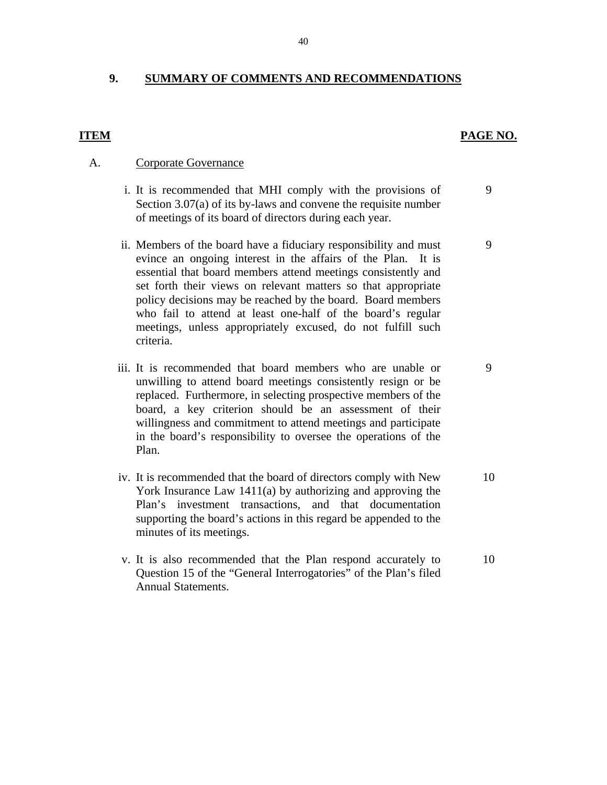# **9. SUMMARY OF COMMENTS AND RECOMMENDATIONS**

# **ITEM**

# **PAGE NO.**

9

9

9

# A. Corporate Governance

- i. It is recommended that MHI comply with the provisions of Section 3.07(a) of its by-laws and convene the requisite number of meetings of its board of directors during each year.
- ii. Members of the board have a fiduciary responsibility and must evince an ongoing interest in the affairs of the Plan. It is essential that board members attend meetings consistently and set forth their views on relevant matters so that appropriate policy decisions may be reached by the board. Board members who fail to attend at least one-half of the board's regular meetings, unless appropriately excused, do not fulfill such criteria.
- iii. It is recommended that board members who are unable or unwilling to attend board meetings consistently resign or be replaced. Furthermore, in selecting prospective members of the board, a key criterion should be an assessment of their willingness and commitment to attend meetings and participate in the board's responsibility to oversee the operations of the Plan.
- iv. It is recommended that the board of directors comply with New York Insurance Law 1411(a) by authorizing and approving the Plan's investment transactions, and that documentation supporting the board's actions in this regard be appended to the minutes of its meetings. 10
- v. It is also recommended that the Plan respond accurately to Question 15 of the "General Interrogatories" of the Plan's filed Annual Statements. 10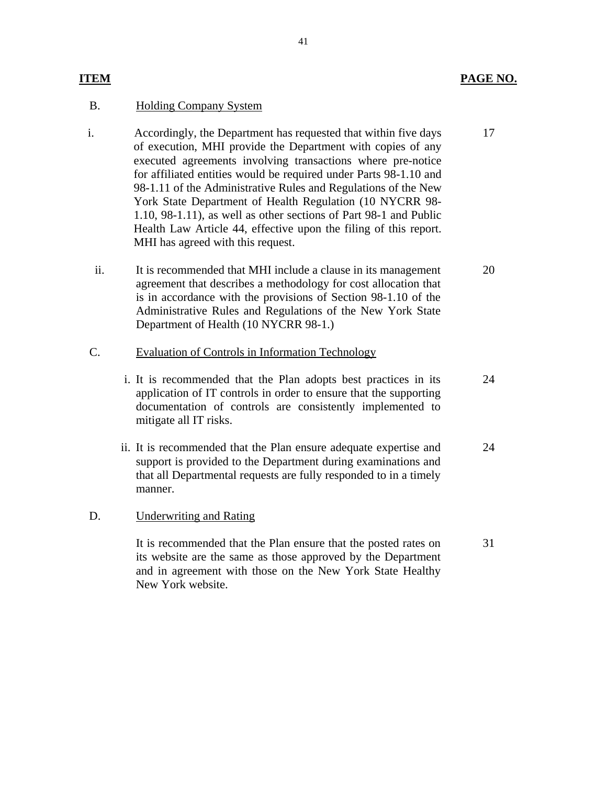# **ITEM PAGE NO.**

17

# B. Holding Company System

- Health Law Article 44, effective upon the filing of this report. MHI has agreed with this request. i. Accordingly, the Department has requested that within five days of execution, MHI provide the Department with copies of any executed agreements involving transactions where pre-notice for affiliated entities would be required under Parts 98-1.10 and 98-1.11 of the Administrative Rules and Regulations of the New York State Department of Health Regulation (10 NYCRR 98- 1.10, 98-1.11), as well as other sections of Part 98-1 and Public
	- ii. It is recommended that MHI include a clause in its management agreement that describes a methodology for cost allocation that is in accordance with the provisions of Section 98-1.10 of the Administrative Rules and Regulations of the New York State Department of Health (10 NYCRR 98-1.) 20
- C. Evaluation of Controls in Information Technology
	- i. It is recommended that the Plan adopts best practices in its application of IT controls in order to ensure that the supporting documentation of controls are consistently implemented to mitigate all IT risks. 24
	- ii. It is recommended that the Plan ensure adequate expertise and support is provided to the Department during examinations and that all Departmental requests are fully responded to in a timely manner. 24

## D. Underwriting and Rating

It is recommended that the Plan ensure that the posted rates on its website are the same as those approved by the Department and in agreement with those on the New York State Healthy New York website. 31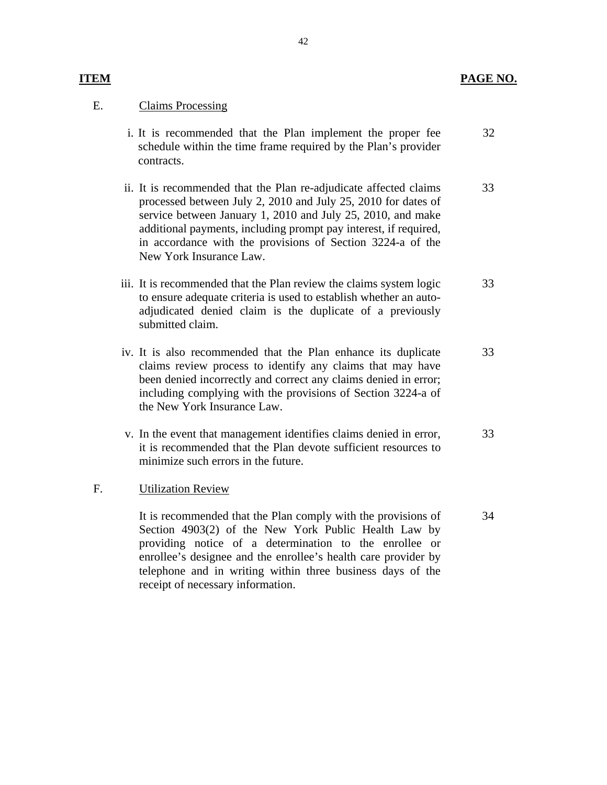# **ITEM** PAGE NO.

34

# E. Claims Processing

- i. It is recommended that the Plan implement the proper fee schedule within the time frame required by the Plan's provider contracts. 32
- ii. It is recommended that the Plan re-adjudicate affected claims processed between July 2, 2010 and July 25, 2010 for dates of service between January 1, 2010 and July 25, 2010, and make additional payments, including prompt pay interest, if required, in accordance with the provisions of Section 3224-a of the New York Insurance Law. 33
- iii. It is recommended that the Plan review the claims system logic to ensure adequate criteria is used to establish whether an autoadjudicated denied claim is the duplicate of a previously submitted claim. 33
- iv. It is also recommended that the Plan enhance its duplicate claims review process to identify any claims that may have been denied incorrectly and correct any claims denied in error; including complying with the provisions of Section 3224-a of the New York Insurance Law. 33
- v. In the event that management identifies claims denied in error, it is recommended that the Plan devote sufficient resources to minimize such errors in the future. 33

## F. Utilization Review

It is recommended that the Plan comply with the provisions of Section 4903(2) of the New York Public Health Law by providing notice of a determination to the enrollee or enrollee's designee and the enrollee's health care provider by telephone and in writing within three business days of the receipt of necessary information.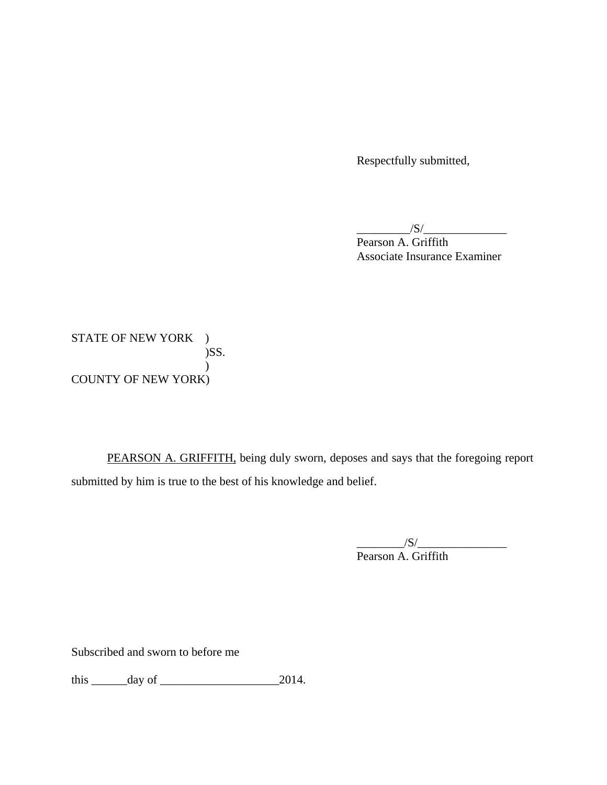Respectfully submitted,

 $\frac{1}{\sqrt{S}}$ 

Pearson A. Griffith Associate Insurance Examiner

STATE OF NEW YORK ) )SS.  $\mathcal{L}$ COUNTY OF NEW YORK)

PEARSON A. GRIFFITH, being duly sworn, deposes and says that the foregoing report submitted by him is true to the best of his knowledge and belief.

> $\frac{|S|}{|S|}$ Pearson A. Griffith

Subscribed and sworn to before me

this  $\rule{1em}{0.15mm}$  day of  $\rule{1em}{0.15mm}$  2014.